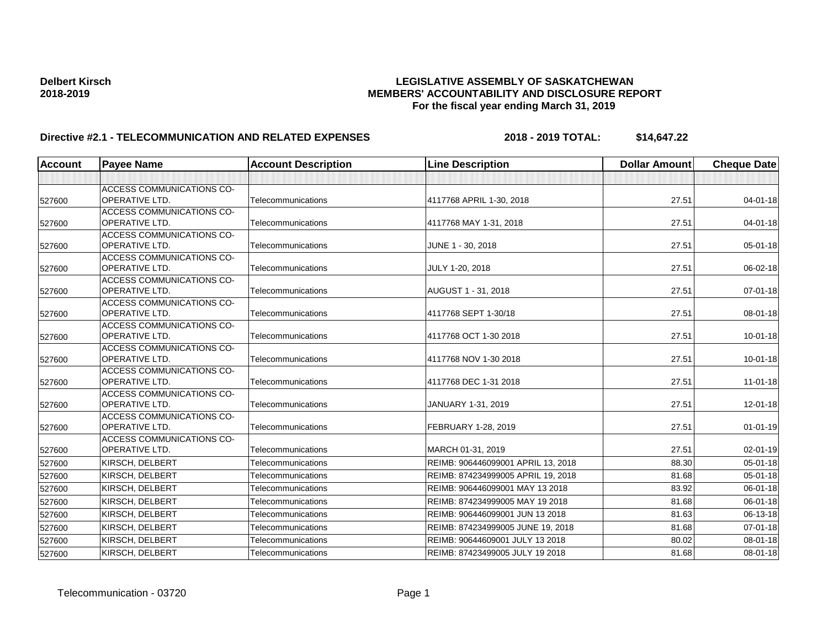| <b>Account</b> | <b>Payee Name</b>                                         | <b>Account Description</b> | <b>Line Description</b>            | <b>Dollar Amount</b> | <b>Cheque Date</b> |
|----------------|-----------------------------------------------------------|----------------------------|------------------------------------|----------------------|--------------------|
|                |                                                           |                            |                                    |                      |                    |
| 527600         | <b>ACCESS COMMUNICATIONS CO-</b><br><b>OPERATIVE LTD.</b> | Telecommunications         | 4117768 APRIL 1-30, 2018           | 27.51                | $04 - 01 - 18$     |
| 527600         | <b>ACCESS COMMUNICATIONS CO-</b><br><b>OPERATIVE LTD.</b> | Telecommunications         | 4117768 MAY 1-31, 2018             | 27.51                | $04 - 01 - 18$     |
| 527600         | <b>ACCESS COMMUNICATIONS CO-</b><br><b>OPERATIVE LTD.</b> | Telecommunications         | JUNE 1 - 30, 2018                  | 27.51                | 05-01-18           |
| 527600         | <b>ACCESS COMMUNICATIONS CO-</b><br><b>OPERATIVE LTD.</b> | Telecommunications         | JULY 1-20, 2018                    | 27.51                | 06-02-18           |
| 527600         | <b>ACCESS COMMUNICATIONS CO-</b><br><b>OPERATIVE LTD.</b> | Telecommunications         | AUGUST 1 - 31, 2018                | 27.51                | $07 - 01 - 18$     |
| 527600         | <b>ACCESS COMMUNICATIONS CO-</b><br><b>OPERATIVE LTD.</b> | Telecommunications         | 4117768 SEPT 1-30/18               | 27.51                | 08-01-18           |
| 527600         | <b>ACCESS COMMUNICATIONS CO-</b><br><b>OPERATIVE LTD.</b> | Telecommunications         | 4117768 OCT 1-30 2018              | 27.51                | $10-01-18$         |
| 527600         | <b>ACCESS COMMUNICATIONS CO-</b><br><b>OPERATIVE LTD.</b> | Telecommunications         | 4117768 NOV 1-30 2018              | 27.51                | $10 - 01 - 18$     |
| 527600         | <b>ACCESS COMMUNICATIONS CO-</b><br><b>OPERATIVE LTD.</b> | Telecommunications         | 4117768 DEC 1-31 2018              | 27.51                | $11 - 01 - 18$     |
| 527600         | <b>ACCESS COMMUNICATIONS CO-</b><br> OPERATIVE LTD.       | Telecommunications         | JANUARY 1-31, 2019                 | 27.51                | 12-01-18           |
| 527600         | <b>ACCESS COMMUNICATIONS CO-</b><br><b>OPERATIVE LTD.</b> | Telecommunications         | FEBRUARY 1-28, 2019                | 27.51                | 01-01-19           |
| 527600         | <b>ACCESS COMMUNICATIONS CO-</b><br><b>OPERATIVE LTD.</b> | Telecommunications         | MARCH 01-31, 2019                  | 27.51                | $02 - 01 - 19$     |
| 527600         | <b>KIRSCH, DELBERT</b>                                    | Telecommunications         | REIMB: 906446099001 APRIL 13, 2018 | 88.30                | 05-01-18           |
| 527600         | KIRSCH, DELBERT                                           | Telecommunications         | REIMB: 874234999005 APRIL 19, 2018 | 81.68                | 05-01-18           |
| 527600         | KIRSCH, DELBERT                                           | Telecommunications         | REIMB: 906446099001 MAY 13 2018    | 83.92                | 06-01-18           |
| 527600         | KIRSCH, DELBERT                                           | Telecommunications         | REIMB: 874234999005 MAY 19 2018    | 81.68                | 06-01-18           |
| 527600         | KIRSCH, DELBERT                                           | Telecommunications         | REIMB: 906446099001 JUN 13 2018    | 81.63                | 06-13-18           |
| 527600         | KIRSCH, DELBERT                                           | Telecommunications         | REIMB: 874234999005 JUNE 19, 2018  | 81.68                | $07 - 01 - 18$     |
| 527600         | KIRSCH, DELBERT                                           | Telecommunications         | REIMB: 90644609001 JULY 13 2018    | 80.02                | 08-01-18           |
| 527600         | KIRSCH, DELBERT                                           | Telecommunications         | REIMB: 87423499005 JULY 19 2018    | 81.68                | 08-01-18           |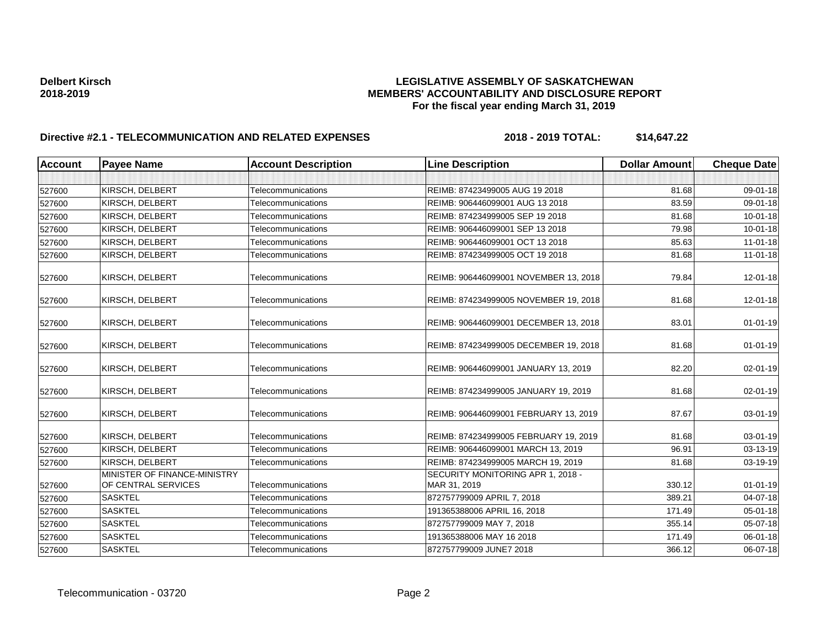| <b>Account</b> | <b>Payee Name</b>                                   | <b>Account Description</b> | <b>Line Description</b>                           | <b>Dollar Amount</b> | <b>Cheque Date</b> |
|----------------|-----------------------------------------------------|----------------------------|---------------------------------------------------|----------------------|--------------------|
|                |                                                     |                            |                                                   |                      |                    |
| 527600         | KIRSCH, DELBERT                                     | Telecommunications         | REIMB: 87423499005 AUG 19 2018                    | 81.68                | 09-01-18           |
| 527600         | KIRSCH, DELBERT                                     | Telecommunications         | REIMB: 906446099001 AUG 13 2018                   | 83.59                | 09-01-18           |
| 527600         | KIRSCH, DELBERT                                     | Telecommunications         | REIMB: 874234999005 SEP 19 2018                   | 81.68                | $10 - 01 - 18$     |
| 527600         | KIRSCH, DELBERT                                     | Telecommunications         | REIMB: 906446099001 SEP 13 2018                   | 79.98                | 10-01-18           |
| 527600         | KIRSCH, DELBERT                                     | Telecommunications         | REIMB: 906446099001 OCT 13 2018                   | 85.63                | $11 - 01 - 18$     |
| 527600         | KIRSCH, DELBERT                                     | Telecommunications         | REIMB: 874234999005 OCT 19 2018                   | 81.68                | 11-01-18           |
| 527600         | KIRSCH, DELBERT                                     | Telecommunications         | REIMB: 906446099001 NOVEMBER 13, 2018             | 79.84                | 12-01-18           |
| 527600         | KIRSCH, DELBERT                                     | Telecommunications         | REIMB: 874234999005 NOVEMBER 19, 2018             | 81.68                | 12-01-18           |
| 527600         | KIRSCH, DELBERT                                     | Telecommunications         | REIMB: 906446099001 DECEMBER 13, 2018             | 83.01                | $01 - 01 - 19$     |
| 527600         | KIRSCH, DELBERT                                     | Telecommunications         | REIMB: 874234999005 DECEMBER 19, 2018             | 81.68                | $01 - 01 - 19$     |
| 527600         | KIRSCH, DELBERT                                     | Telecommunications         | REIMB: 906446099001 JANUARY 13, 2019              | 82.20                | 02-01-19           |
| 527600         | KIRSCH, DELBERT                                     | Telecommunications         | REIMB: 874234999005 JANUARY 19, 2019              | 81.68                | 02-01-19           |
| 527600         | KIRSCH, DELBERT                                     | Telecommunications         | REIMB: 906446099001 FEBRUARY 13, 2019             | 87.67                | 03-01-19           |
| 527600         | KIRSCH, DELBERT                                     | Telecommunications         | REIMB: 874234999005 FEBRUARY 19, 2019             | 81.68                | 03-01-19           |
| 527600         | KIRSCH, DELBERT                                     | Telecommunications         | REIMB: 906446099001 MARCH 13, 2019                | 96.91                | 03-13-19           |
| 527600         | KIRSCH, DELBERT                                     | Telecommunications         | REIMB: 874234999005 MARCH 19, 2019                | 81.68                | 03-19-19           |
| 527600         | MINISTER OF FINANCE-MINISTRY<br>OF CENTRAL SERVICES | Telecommunications         | SECURITY MONITORING APR 1, 2018 -<br>MAR 31, 2019 | 330.12               | $01 - 01 - 19$     |
| 527600         | <b>SASKTEL</b>                                      | Telecommunications         | 872757799009 APRIL 7, 2018                        | 389.21               | 04-07-18           |
| 527600         | <b>SASKTEL</b>                                      | Telecommunications         | 191365388006 APRIL 16, 2018                       | 171.49               | 05-01-18           |
| 527600         | <b>SASKTEL</b>                                      | Telecommunications         | 872757799009 MAY 7, 2018                          | 355.14               | 05-07-18           |
| 527600         | <b>SASKTEL</b>                                      | Telecommunications         | 191365388006 MAY 16 2018                          | 171.49               | $06 - 01 - 18$     |
| 527600         | <b>SASKTEL</b>                                      | Telecommunications         | 872757799009 JUNE7 2018                           | 366.12               | 06-07-18           |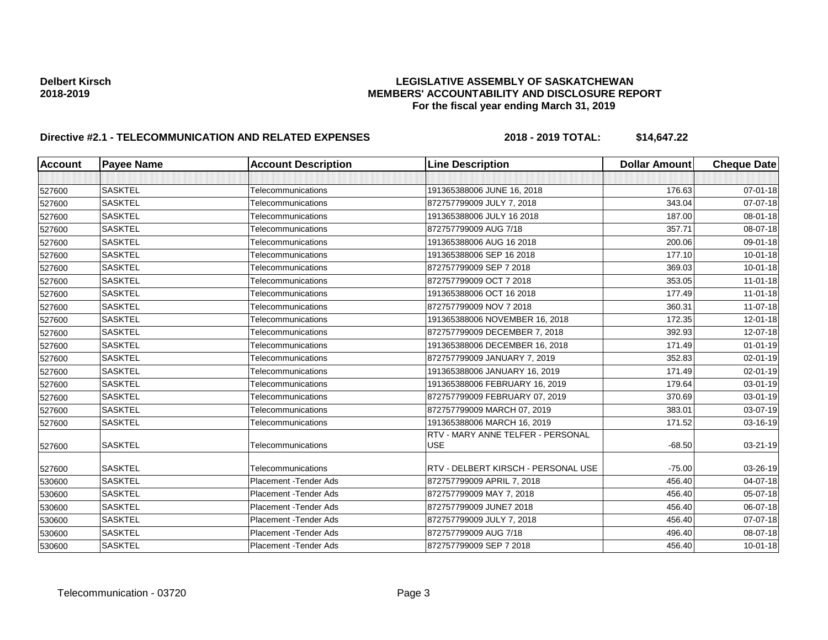| <b>Account</b> | <b>Payee Name</b> | <b>Account Description</b>    | <b>Line Description</b>                         | <b>Dollar Amount</b> | <b>Cheque Date</b> |
|----------------|-------------------|-------------------------------|-------------------------------------------------|----------------------|--------------------|
|                |                   |                               |                                                 |                      |                    |
| 527600         | <b>SASKTEL</b>    | Telecommunications            | 191365388006 JUNE 16, 2018                      | 176.63               | $07 - 01 - 18$     |
| 527600         | <b>SASKTEL</b>    | Telecommunications            | 872757799009 JULY 7, 2018                       | 343.04               | $07 - 07 - 18$     |
| 527600         | <b>SASKTEL</b>    | Telecommunications            | 191365388006 JULY 16 2018                       | 187.00               | 08-01-18           |
| 527600         | <b>SASKTEL</b>    | Telecommunications            | 872757799009 AUG 7/18                           | 357.71               | 08-07-18           |
| 527600         | <b>SASKTEL</b>    | Telecommunications            | 191365388006 AUG 16 2018                        | 200.06               | 09-01-18           |
| 527600         | <b>SASKTEL</b>    | Telecommunications            | 191365388006 SEP 16 2018                        | 177.10               | $10 - 01 - 18$     |
| 527600         | <b>SASKTEL</b>    | Telecommunications            | 872757799009 SEP 7 2018                         | 369.03               | $10 - 01 - 18$     |
| 527600         | <b>SASKTEL</b>    | Telecommunications            | 872757799009 OCT 7 2018                         | 353.05               | $11 - 01 - 18$     |
| 527600         | <b>SASKTEL</b>    | Telecommunications            | 191365388006 OCT 16 2018                        | 177.49               | $11-01-18$         |
| 527600         | <b>SASKTEL</b>    | Telecommunications            | 872757799009 NOV 7 2018                         | 360.31               | $11 - 07 - 18$     |
| 527600         | <b>SASKTEL</b>    | Telecommunications            | 191365388006 NOVEMBER 16, 2018                  | 172.35               | $12 - 01 - 18$     |
| 527600         | <b>SASKTEL</b>    | Telecommunications            | 872757799009 DECEMBER 7, 2018                   | 392.93               | 12-07-18           |
| 527600         | <b>SASKTEL</b>    | Telecommunications            | 191365388006 DECEMBER 16, 2018                  | 171.49               | $01 - 01 - 19$     |
| 527600         | <b>SASKTEL</b>    | Telecommunications            | 872757799009 JANUARY 7, 2019                    | 352.83               | $02 - 01 - 19$     |
| 527600         | <b>SASKTEL</b>    | Telecommunications            | 191365388006 JANUARY 16, 2019                   | 171.49               | 02-01-19           |
| 527600         | <b>SASKTEL</b>    | Telecommunications            | 191365388006 FEBRUARY 16, 2019                  | 179.64               | 03-01-19           |
| 527600         | <b>SASKTEL</b>    | Telecommunications            | 872757799009 FEBRUARY 07, 2019                  | 370.69               | 03-01-19           |
| 527600         | <b>SASKTEL</b>    | Telecommunications            | 872757799009 MARCH 07, 2019                     | 383.01               | 03-07-19           |
| 527600         | <b>SASKTEL</b>    | Telecommunications            | 191365388006 MARCH 16, 2019                     | 171.52               | 03-16-19           |
| 527600         | <b>SASKTEL</b>    | Telecommunications            | RTV - MARY ANNE TELFER - PERSONAL<br><b>USE</b> | $-68.50$             | 03-21-19           |
| 527600         | <b>SASKTEL</b>    | Telecommunications            | RTV - DELBERT KIRSCH - PERSONAL USE             | $-75.00$             | 03-26-19           |
| 530600         | <b>SASKTEL</b>    | Placement - Tender Ads        | 872757799009 APRIL 7, 2018                      | 456.40               | 04-07-18           |
| 530600         | <b>SASKTEL</b>    | Placement - Tender Ads        | 872757799009 MAY 7, 2018                        | 456.40               | 05-07-18           |
| 530600         | <b>SASKTEL</b>    | Placement - Tender Ads        | 872757799009 JUNE7 2018                         | 456.40               | 06-07-18           |
| 530600         | <b>SASKTEL</b>    | Placement - Tender Ads        | 872757799009 JULY 7, 2018                       | 456.40               | 07-07-18           |
| 530600         | <b>SASKTEL</b>    | <b>Placement - Tender Ads</b> | 872757799009 AUG 7/18                           | 496.40               | 08-07-18           |
| 530600         | <b>SASKTEL</b>    | Placement - Tender Ads        | 872757799009 SEP 7 2018                         | 456.40               | $10 - 01 - 18$     |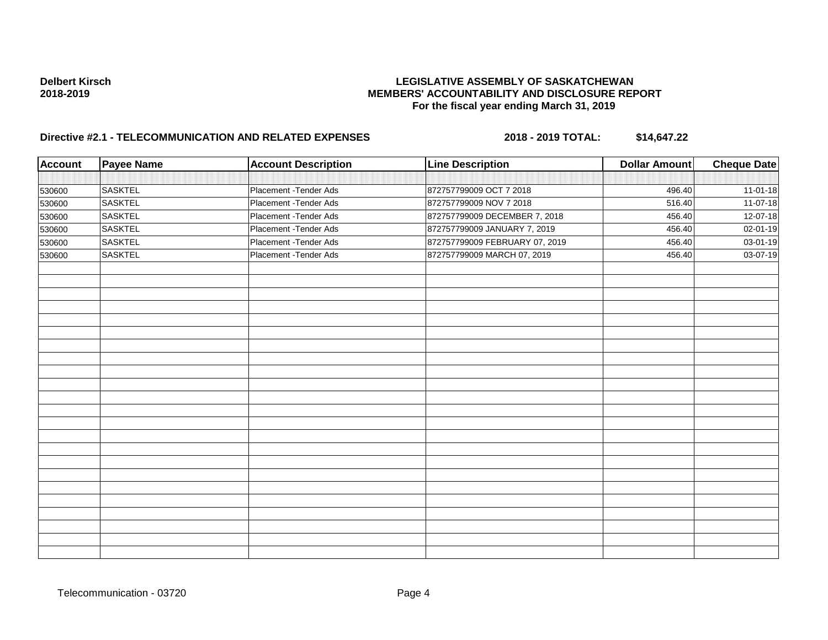| <b>Account</b> | <b>Payee Name</b> | <b>Account Description</b> | <b>Line Description</b>        | <b>Dollar Amount</b> | <b>Cheque Date</b>    |
|----------------|-------------------|----------------------------|--------------------------------|----------------------|-----------------------|
|                |                   |                            |                                |                      |                       |
| 530600         | <b>SASKTEL</b>    | Placement - Tender Ads     | 872757799009 OCT 7 2018        | 496.40               | $11-01-18$            |
| 530600         | <b>SASKTEL</b>    | Placement - Tender Ads     | 872757799009 NOV 7 2018        | 516.40               | $11-07-18$            |
| 530600         | <b>SASKTEL</b>    | Placement - Tender Ads     | 872757799009 DECEMBER 7, 2018  | 456.40               | 12-07-18              |
| 530600         | <b>SASKTEL</b>    | Placement - Tender Ads     | 872757799009 JANUARY 7, 2019   | 456.40               | $\overline{02-01-19}$ |
| 530600         | <b>SASKTEL</b>    | Placement - Tender Ads     | 872757799009 FEBRUARY 07, 2019 | 456.40               | 03-01-19              |
| 530600         | <b>SASKTEL</b>    | Placement - Tender Ads     | 872757799009 MARCH 07, 2019    | 456.40               | 03-07-19              |
|                |                   |                            |                                |                      |                       |
|                |                   |                            |                                |                      |                       |
|                |                   |                            |                                |                      |                       |
|                |                   |                            |                                |                      |                       |
|                |                   |                            |                                |                      |                       |
|                |                   |                            |                                |                      |                       |
|                |                   |                            |                                |                      |                       |
|                |                   |                            |                                |                      |                       |
|                |                   |                            |                                |                      |                       |
|                |                   |                            |                                |                      |                       |
|                |                   |                            |                                |                      |                       |
|                |                   |                            |                                |                      |                       |
|                |                   |                            |                                |                      |                       |
|                |                   |                            |                                |                      |                       |
|                |                   |                            |                                |                      |                       |
|                |                   |                            |                                |                      |                       |
|                |                   |                            |                                |                      |                       |
|                |                   |                            |                                |                      |                       |
|                |                   |                            |                                |                      |                       |
|                |                   |                            |                                |                      |                       |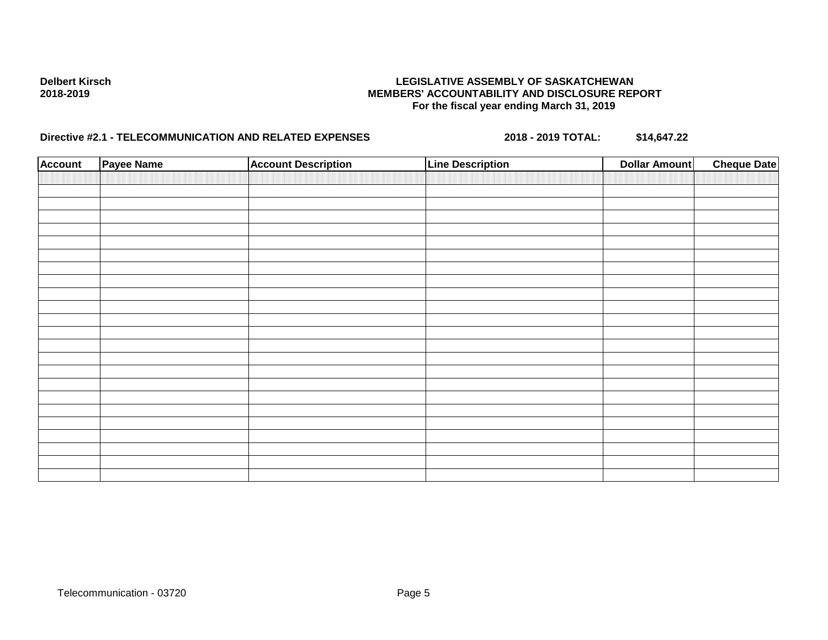| <b>Account</b> | Payee Name | <b>Account Description</b> | <b>Line Description</b> | <b>Dollar Amount</b> | <b>Cheque Date</b> |
|----------------|------------|----------------------------|-------------------------|----------------------|--------------------|
|                |            |                            |                         |                      |                    |
|                |            |                            |                         |                      |                    |
|                |            |                            |                         |                      |                    |
|                |            |                            |                         |                      |                    |
|                |            |                            |                         |                      |                    |
|                |            |                            |                         |                      |                    |
|                |            |                            |                         |                      |                    |
|                |            |                            |                         |                      |                    |
|                |            |                            |                         |                      |                    |
|                |            |                            |                         |                      |                    |
|                |            |                            |                         |                      |                    |
|                |            |                            |                         |                      |                    |
|                |            |                            |                         |                      |                    |
|                |            |                            |                         |                      |                    |
|                |            |                            |                         |                      |                    |
|                |            |                            |                         |                      |                    |
|                |            |                            |                         |                      |                    |
|                |            |                            |                         |                      |                    |
|                |            |                            |                         |                      |                    |
|                |            |                            |                         |                      |                    |
|                |            |                            |                         |                      |                    |
|                |            |                            |                         |                      |                    |
|                |            |                            |                         |                      |                    |
|                |            |                            |                         |                      |                    |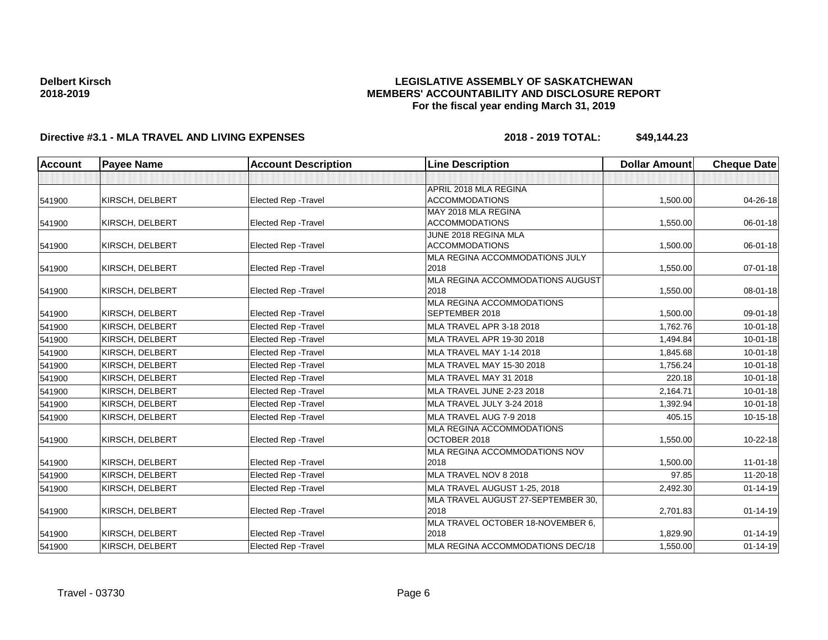## **LEGISLATIVE ASSEMBLY OF SASKATCHEWAN MEMBERS' ACCOUNTABILITY AND DISCLOSURE REPORT For the fiscal year ending March 31, 2019**

| <b>Account</b> | <b>Payee Name</b>      | <b>Account Description</b>  | <b>Line Description</b>                     | <b>Dollar Amount</b> | <b>Cheque Date</b> |
|----------------|------------------------|-----------------------------|---------------------------------------------|----------------------|--------------------|
|                |                        |                             |                                             |                      |                    |
|                |                        |                             | APRIL 2018 MLA REGINA                       |                      |                    |
| 541900         | KIRSCH, DELBERT        | <b>Elected Rep - Travel</b> | <b>ACCOMMODATIONS</b>                       | 1,500.00             | 04-26-18           |
|                |                        |                             | MAY 2018 MLA REGINA                         |                      |                    |
| 541900         | KIRSCH, DELBERT        | Elected Rep - Travel        | <b>ACCOMMODATIONS</b>                       | 1,550.00             | 06-01-18           |
|                |                        |                             | JUNE 2018 REGINA MLA                        |                      |                    |
| 541900         | KIRSCH, DELBERT        | Elected Rep - Travel        | <b>ACCOMMODATIONS</b>                       | 1,500.00             | 06-01-18           |
|                |                        |                             | MLA REGINA ACCOMMODATIONS JULY              |                      |                    |
| 541900         | KIRSCH, DELBERT        | Elected Rep - Travel        | 2018                                        | 1,550.00             | 07-01-18           |
|                |                        |                             | MLA REGINA ACCOMMODATIONS AUGUST            |                      |                    |
| 541900         | KIRSCH, DELBERT        | <b>Elected Rep - Travel</b> | 2018                                        | 1,550.00             | 08-01-18           |
| 541900         | KIRSCH, DELBERT        | Elected Rep - Travel        | MLA REGINA ACCOMMODATIONS<br>SEPTEMBER 2018 | 1,500.00             | 09-01-18           |
| 541900         | KIRSCH, DELBERT        | Elected Rep - Travel        | MLA TRAVEL APR 3-18 2018                    | 1,762.76             | 10-01-18           |
|                |                        |                             |                                             |                      |                    |
| 541900         | KIRSCH, DELBERT        | Elected Rep - Travel        | MLA TRAVEL APR 19-30 2018                   | 1,494.84             | $10-01-18$         |
| 541900         | KIRSCH, DELBERT        | <b>Elected Rep - Travel</b> | MLA TRAVEL MAY 1-14 2018                    | 1,845.68             | $10 - 01 - 18$     |
| 541900         | KIRSCH, DELBERT        | <b>Elected Rep - Travel</b> | MLA TRAVEL MAY 15-30 2018                   | 1,756.24             | $10 - 01 - 18$     |
| 541900         | KIRSCH, DELBERT        | Elected Rep - Travel        | MLA TRAVEL MAY 31 2018                      | 220.18               | $10 - 01 - 18$     |
| 541900         | KIRSCH, DELBERT        | <b>Elected Rep - Travel</b> | MLA TRAVEL JUNE 2-23 2018                   | 2,164.71             | $10 - 01 - 18$     |
| 541900         | KIRSCH, DELBERT        | <b>Elected Rep - Travel</b> | MLA TRAVEL JULY 3-24 2018                   | 1,392.94             | $10 - 01 - 18$     |
| 541900         | KIRSCH, DELBERT        | <b>Elected Rep - Travel</b> | MLA TRAVEL AUG 7-9 2018                     | 405.15               | 10-15-18           |
|                |                        |                             | <b>MLA REGINA ACCOMMODATIONS</b>            |                      |                    |
| 541900         | <b>KIRSCH, DELBERT</b> | Elected Rep - Travel        | OCTOBER 2018                                | 1,550.00             | $10 - 22 - 18$     |
|                |                        |                             | MLA REGINA ACCOMMODATIONS NOV               |                      |                    |
| 541900         | KIRSCH, DELBERT        | Elected Rep - Travel        | 2018                                        | 1,500.00             | $11-01-18$         |
| 541900         | KIRSCH, DELBERT        | <b>Elected Rep - Travel</b> | MLA TRAVEL NOV 8 2018                       | 97.85                | $11 - 20 - 18$     |
| 541900         | KIRSCH, DELBERT        | <b>Elected Rep - Travel</b> | MLA TRAVEL AUGUST 1-25, 2018                | 2,492.30             | $01 - 14 - 19$     |
|                |                        |                             | MLA TRAVEL AUGUST 27-SEPTEMBER 30,          |                      |                    |
| 541900         | KIRSCH, DELBERT        | Elected Rep - Travel        | 2018                                        | 2,701.83             | $01 - 14 - 19$     |
|                |                        |                             | MLA TRAVEL OCTOBER 18-NOVEMBER 6,           |                      |                    |
| 541900         | KIRSCH, DELBERT        | Elected Rep - Travel        | 2018                                        | 1,829.90             | $01 - 14 - 19$     |
| 541900         | KIRSCH, DELBERT        | Elected Rep - Travel        | MLA REGINA ACCOMMODATIONS DEC/18            | 1,550.00             | $01 - 14 - 19$     |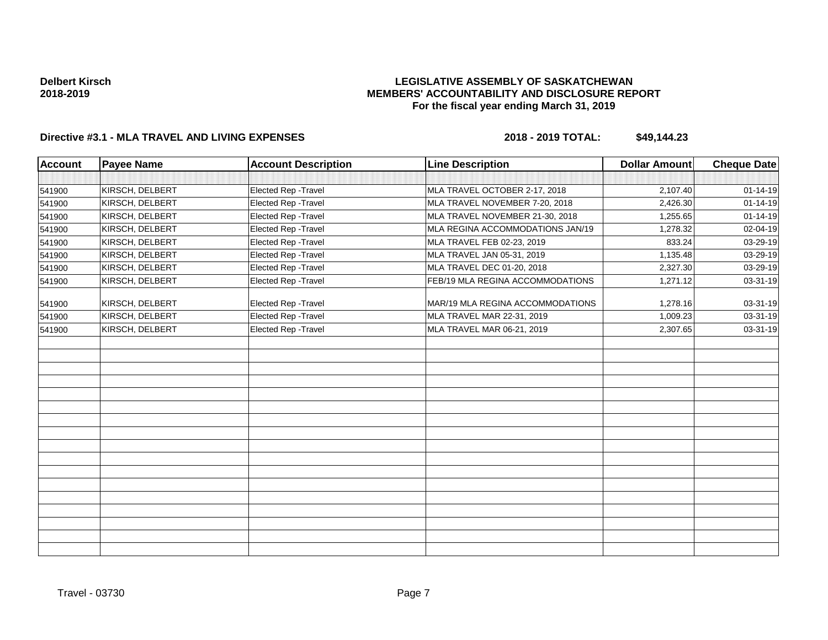## **LEGISLATIVE ASSEMBLY OF SASKATCHEWAN MEMBERS' ACCOUNTABILITY AND DISCLOSURE REPORT For the fiscal year ending March 31, 2019**

| Account | <b>Payee Name</b> | <b>Account Description</b> | <b>Line Description</b>          | <b>Dollar Amount</b> | Cheque Date    |
|---------|-------------------|----------------------------|----------------------------------|----------------------|----------------|
|         |                   |                            |                                  |                      |                |
| 541900  | KIRSCH, DELBERT   | Elected Rep - Travel       | MLA TRAVEL OCTOBER 2-17, 2018    | 2,107.40             | $01 - 14 - 19$ |
| 541900  | KIRSCH, DELBERT   | Elected Rep - Travel       | MLA TRAVEL NOVEMBER 7-20, 2018   | 2,426.30             | $01 - 14 - 19$ |
| 541900  | KIRSCH, DELBERT   | Elected Rep - Travel       | MLA TRAVEL NOVEMBER 21-30, 2018  | 1,255.65             | $01 - 14 - 19$ |
| 541900  | KIRSCH, DELBERT   | Elected Rep - Travel       | MLA REGINA ACCOMMODATIONS JAN/19 | 1,278.32             | 02-04-19       |
| 541900  | KIRSCH, DELBERT   | Elected Rep - Travel       | MLA TRAVEL FEB 02-23, 2019       | 833.24               | 03-29-19       |
| 541900  | KIRSCH, DELBERT   | Elected Rep - Travel       | MLA TRAVEL JAN 05-31, 2019       | 1,135.48             | 03-29-19       |
| 541900  | KIRSCH, DELBERT   | Elected Rep - Travel       | MLA TRAVEL DEC 01-20, 2018       | 2,327.30             | 03-29-19       |
| 541900  | KIRSCH, DELBERT   | Elected Rep - Travel       | FEB/19 MLA REGINA ACCOMMODATIONS | 1,271.12             | 03-31-19       |
| 541900  | KIRSCH, DELBERT   | Elected Rep - Travel       | MAR/19 MLA REGINA ACCOMMODATIONS | 1,278.16             | 03-31-19       |
| 541900  | KIRSCH, DELBERT   | Elected Rep - Travel       | MLA TRAVEL MAR 22-31, 2019       | 1,009.23             | 03-31-19       |
| 541900  | KIRSCH, DELBERT   | Elected Rep - Travel       | MLA TRAVEL MAR 06-21, 2019       | 2,307.65             | 03-31-19       |
|         |                   |                            |                                  |                      |                |
|         |                   |                            |                                  |                      |                |
|         |                   |                            |                                  |                      |                |
|         |                   |                            |                                  |                      |                |
|         |                   |                            |                                  |                      |                |
|         |                   |                            |                                  |                      |                |
|         |                   |                            |                                  |                      |                |
|         |                   |                            |                                  |                      |                |
|         |                   |                            |                                  |                      |                |
|         |                   |                            |                                  |                      |                |
|         |                   |                            |                                  |                      |                |
|         |                   |                            |                                  |                      |                |
|         |                   |                            |                                  |                      |                |
|         |                   |                            |                                  |                      |                |
|         |                   |                            |                                  |                      |                |
|         |                   |                            |                                  |                      |                |
|         |                   |                            |                                  |                      |                |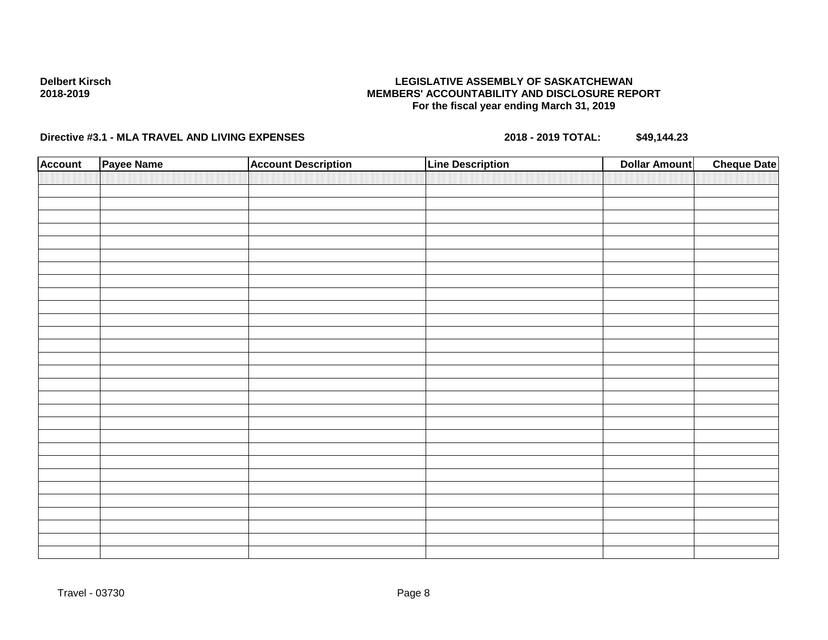## **LEGISLATIVE ASSEMBLY OF SASKATCHEWAN MEMBERS' ACCOUNTABILITY AND DISCLOSURE REPORT For the fiscal year ending March 31, 2019**

| <b>Account</b> | Payee Name | <b>Account Description</b> | <b>Line Description</b> | <b>Dollar Amount</b> | <b>Cheque Date</b> |
|----------------|------------|----------------------------|-------------------------|----------------------|--------------------|
|                |            |                            |                         |                      |                    |
|                |            |                            |                         |                      |                    |
|                |            |                            |                         |                      |                    |
|                |            |                            |                         |                      |                    |
|                |            |                            |                         |                      |                    |
|                |            |                            |                         |                      |                    |
|                |            |                            |                         |                      |                    |
|                |            |                            |                         |                      |                    |
|                |            |                            |                         |                      |                    |
|                |            |                            |                         |                      |                    |
|                |            |                            |                         |                      |                    |
|                |            |                            |                         |                      |                    |
|                |            |                            |                         |                      |                    |
|                |            |                            |                         |                      |                    |
|                |            |                            |                         |                      |                    |
|                |            |                            |                         |                      |                    |
|                |            |                            |                         |                      |                    |
|                |            |                            |                         |                      |                    |
|                |            |                            |                         |                      |                    |
|                |            |                            |                         |                      |                    |
|                |            |                            |                         |                      |                    |
|                |            |                            |                         |                      |                    |
|                |            |                            |                         |                      |                    |
|                |            |                            |                         |                      |                    |
|                |            |                            |                         |                      |                    |
|                |            |                            |                         |                      |                    |
|                |            |                            |                         |                      |                    |
|                |            |                            |                         |                      |                    |
|                |            |                            |                         |                      |                    |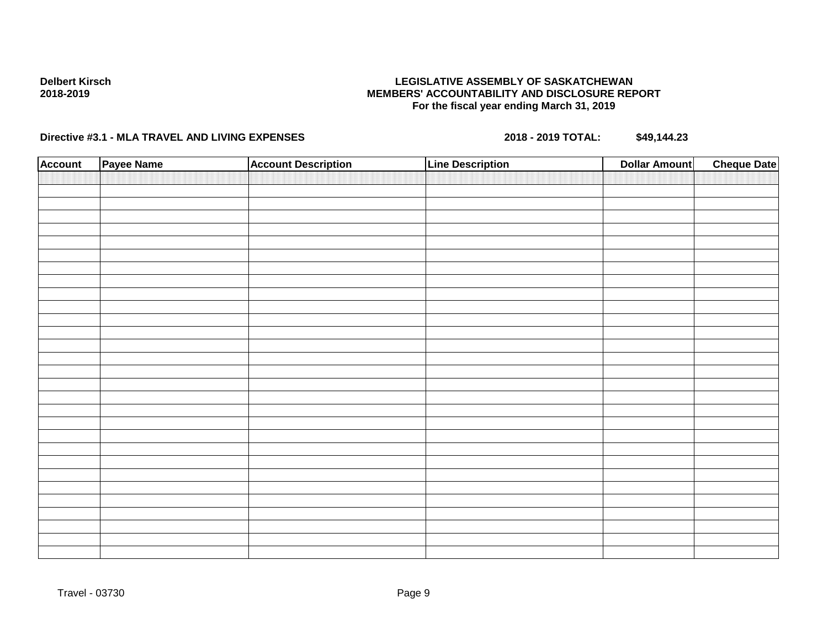## **LEGISLATIVE ASSEMBLY OF SASKATCHEWAN MEMBERS' ACCOUNTABILITY AND DISCLOSURE REPORT For the fiscal year ending March 31, 2019**

| <b>Account</b> | Payee Name | <b>Account Description</b> | <b>Line Description</b> | <b>Dollar Amount</b> | <b>Cheque Date</b> |
|----------------|------------|----------------------------|-------------------------|----------------------|--------------------|
|                |            |                            |                         |                      |                    |
|                |            |                            |                         |                      |                    |
|                |            |                            |                         |                      |                    |
|                |            |                            |                         |                      |                    |
|                |            |                            |                         |                      |                    |
|                |            |                            |                         |                      |                    |
|                |            |                            |                         |                      |                    |
|                |            |                            |                         |                      |                    |
|                |            |                            |                         |                      |                    |
|                |            |                            |                         |                      |                    |
|                |            |                            |                         |                      |                    |
|                |            |                            |                         |                      |                    |
|                |            |                            |                         |                      |                    |
|                |            |                            |                         |                      |                    |
|                |            |                            |                         |                      |                    |
|                |            |                            |                         |                      |                    |
|                |            |                            |                         |                      |                    |
|                |            |                            |                         |                      |                    |
|                |            |                            |                         |                      |                    |
|                |            |                            |                         |                      |                    |
|                |            |                            |                         |                      |                    |
|                |            |                            |                         |                      |                    |
|                |            |                            |                         |                      |                    |
|                |            |                            |                         |                      |                    |
|                |            |                            |                         |                      |                    |
|                |            |                            |                         |                      |                    |
|                |            |                            |                         |                      |                    |
|                |            |                            |                         |                      |                    |
|                |            |                            |                         |                      |                    |
|                |            |                            |                         |                      |                    |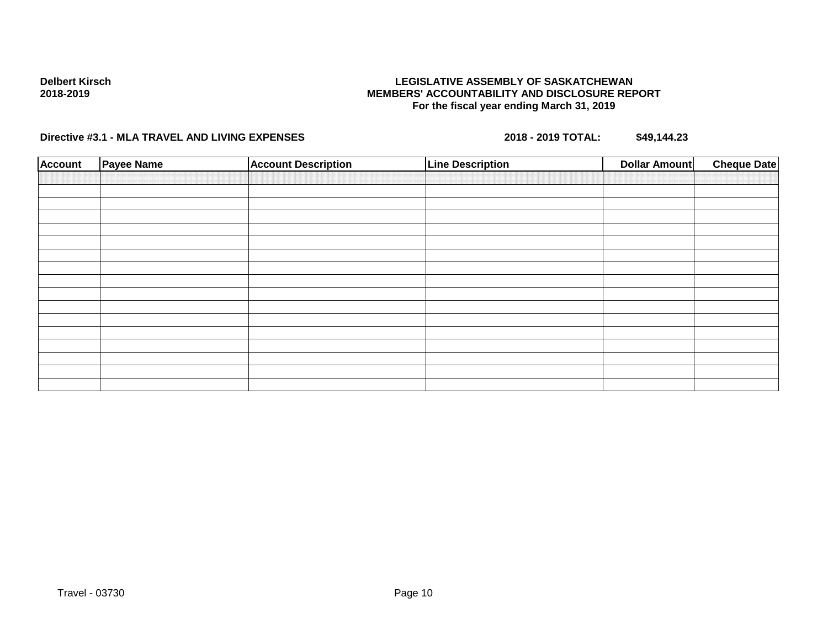## **LEGISLATIVE ASSEMBLY OF SASKATCHEWAN MEMBERS' ACCOUNTABILITY AND DISCLOSURE REPORT For the fiscal year ending March 31, 2019**

| <b>Account</b> | Payee Name | <b>Account Description</b> | <b>Line Description</b> | <b>Cheque Date</b><br><b>Dollar Amount</b> |
|----------------|------------|----------------------------|-------------------------|--------------------------------------------|
|                |            |                            |                         |                                            |
|                |            |                            |                         |                                            |
|                |            |                            |                         |                                            |
|                |            |                            |                         |                                            |
|                |            |                            |                         |                                            |
|                |            |                            |                         |                                            |
|                |            |                            |                         |                                            |
|                |            |                            |                         |                                            |
|                |            |                            |                         |                                            |
|                |            |                            |                         |                                            |
|                |            |                            |                         |                                            |
|                |            |                            |                         |                                            |
|                |            |                            |                         |                                            |
|                |            |                            |                         |                                            |
|                |            |                            |                         |                                            |
|                |            |                            |                         |                                            |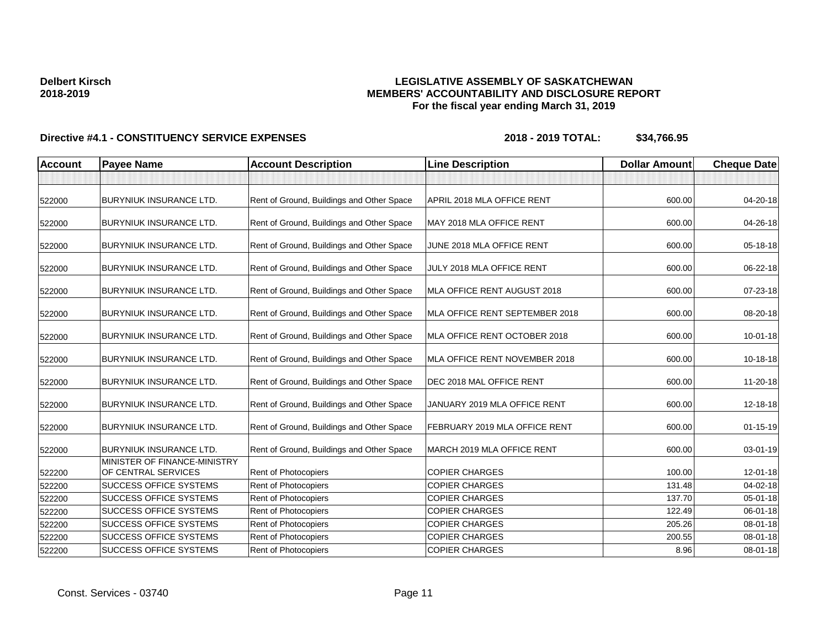## **LEGISLATIVE ASSEMBLY OF SASKATCHEWAN MEMBERS' ACCOUNTABILITY AND DISCLOSURE REPORT For the fiscal year ending March 31, 2019**

| <b>Account</b> | <b>Payee Name</b>                                   | <b>Account Description</b>                | <b>Line Description</b>        | <b>Dollar Amount</b> | <b>Cheque Date</b> |
|----------------|-----------------------------------------------------|-------------------------------------------|--------------------------------|----------------------|--------------------|
|                |                                                     |                                           |                                |                      |                    |
| 522000         | <b>BURYNIUK INSURANCE LTD.</b>                      | Rent of Ground, Buildings and Other Space | APRIL 2018 MLA OFFICE RENT     | 600.00               | 04-20-18           |
| 522000         | <b>BURYNIUK INSURANCE LTD.</b>                      | Rent of Ground, Buildings and Other Space | MAY 2018 MLA OFFICE RENT       | 600.00               | 04-26-18           |
| 522000         | <b>BURYNIUK INSURANCE LTD.</b>                      | Rent of Ground, Buildings and Other Space | JUNE 2018 MLA OFFICE RENT      | 600.00               | 05-18-18           |
| 522000         | <b>BURYNIUK INSURANCE LTD.</b>                      | Rent of Ground, Buildings and Other Space | JULY 2018 MLA OFFICE RENT      | 600.00               | 06-22-18           |
| 522000         | <b>BURYNIUK INSURANCE LTD.</b>                      | Rent of Ground, Buildings and Other Space | MLA OFFICE RENT AUGUST 2018    | 600.00               | 07-23-18           |
| 522000         | <b>BURYNIUK INSURANCE LTD.</b>                      | Rent of Ground, Buildings and Other Space | MLA OFFICE RENT SEPTEMBER 2018 | 600.00               | 08-20-18           |
| 522000         | <b>BURYNIUK INSURANCE LTD.</b>                      | Rent of Ground, Buildings and Other Space | MLA OFFICE RENT OCTOBER 2018   | 600.00               | 10-01-18           |
| 522000         | <b>BURYNIUK INSURANCE LTD.</b>                      | Rent of Ground, Buildings and Other Space | MLA OFFICE RENT NOVEMBER 2018  | 600.00               | 10-18-18           |
| 522000         | <b>BURYNIUK INSURANCE LTD.</b>                      | Rent of Ground, Buildings and Other Space | DEC 2018 MAL OFFICE RENT       | 600.00               | 11-20-18           |
| 522000         | <b>BURYNIUK INSURANCE LTD.</b>                      | Rent of Ground, Buildings and Other Space | JANUARY 2019 MLA OFFICE RENT   | 600.00               | 12-18-18           |
| 522000         | <b>BURYNIUK INSURANCE LTD.</b>                      | Rent of Ground, Buildings and Other Space | FEBRUARY 2019 MLA OFFICE RENT  | 600.00               | $01 - 15 - 19$     |
| 522000         | <b>BURYNIUK INSURANCE LTD.</b>                      | Rent of Ground, Buildings and Other Space | MARCH 2019 MLA OFFICE RENT     | 600.00               | 03-01-19           |
| 522200         | MINISTER OF FINANCE-MINISTRY<br>OF CENTRAL SERVICES | Rent of Photocopiers                      | <b>COPIER CHARGES</b>          | 100.00               | 12-01-18           |
| 522200         | <b>SUCCESS OFFICE SYSTEMS</b>                       | Rent of Photocopiers                      | <b>COPIER CHARGES</b>          | 131.48               | $04 - 02 - 18$     |
| 522200         | <b>SUCCESS OFFICE SYSTEMS</b>                       | Rent of Photocopiers                      | <b>COPIER CHARGES</b>          | 137.70               | $05 - 01 - 18$     |
| 522200         | <b>SUCCESS OFFICE SYSTEMS</b>                       | Rent of Photocopiers                      | <b>COPIER CHARGES</b>          | 122.49               | 06-01-18           |
| 522200         | <b>SUCCESS OFFICE SYSTEMS</b>                       | Rent of Photocopiers                      | <b>COPIER CHARGES</b>          | 205.26               | 08-01-18           |
| 522200         | <b>SUCCESS OFFICE SYSTEMS</b>                       | <b>Rent of Photocopiers</b>               | <b>COPIER CHARGES</b>          | 200.55               | 08-01-18           |
| 522200         | <b>SUCCESS OFFICE SYSTEMS</b>                       | Rent of Photocopiers                      | <b>COPIER CHARGES</b>          | 8.96                 | 08-01-18           |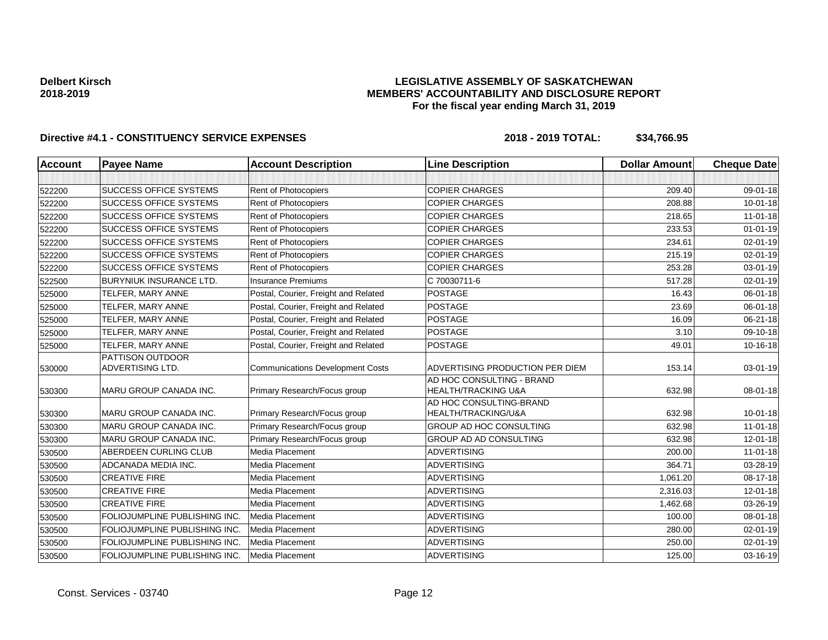## **LEGISLATIVE ASSEMBLY OF SASKATCHEWAN MEMBERS' ACCOUNTABILITY AND DISCLOSURE REPORT For the fiscal year ending March 31, 2019**

| Account | <b>Payee Name</b>              | <b>Account Description</b>              | <b>Line Description</b>                                     | <b>Dollar Amount</b> | <b>Cheque Date</b> |
|---------|--------------------------------|-----------------------------------------|-------------------------------------------------------------|----------------------|--------------------|
|         |                                |                                         |                                                             |                      |                    |
| 522200  | <b>SUCCESS OFFICE SYSTEMS</b>  | <b>Rent of Photocopiers</b>             | <b>COPIER CHARGES</b>                                       | 209.40               | 09-01-18           |
| 522200  | <b>SUCCESS OFFICE SYSTEMS</b>  | Rent of Photocopiers                    | <b>COPIER CHARGES</b>                                       | 208.88               | $10 - 01 - 18$     |
| 522200  | <b>SUCCESS OFFICE SYSTEMS</b>  | Rent of Photocopiers                    | <b>COPIER CHARGES</b>                                       | 218.65               | $11 - 01 - 18$     |
| 522200  | <b>SUCCESS OFFICE SYSTEMS</b>  | Rent of Photocopiers                    | <b>COPIER CHARGES</b>                                       | 233.53               | $01 - 01 - 19$     |
| 522200  | SUCCESS OFFICE SYSTEMS         | Rent of Photocopiers                    | <b>COPIER CHARGES</b>                                       | 234.61               | 02-01-19           |
| 522200  | <b>SUCCESS OFFICE SYSTEMS</b>  | Rent of Photocopiers                    | <b>COPIER CHARGES</b>                                       | 215.19               | 02-01-19           |
| 522200  | <b>SUCCESS OFFICE SYSTEMS</b>  | Rent of Photocopiers                    | <b>COPIER CHARGES</b>                                       | 253.28               | 03-01-19           |
| 522500  | <b>BURYNIUK INSURANCE LTD.</b> | <b>Insurance Premiums</b>               | C 70030711-6                                                | 517.28               | 02-01-19           |
| 525000  | TELFER, MARY ANNE              | Postal, Courier, Freight and Related    | <b>POSTAGE</b>                                              | 16.43                | 06-01-18           |
| 525000  | TELFER, MARY ANNE              | Postal, Courier, Freight and Related    | <b>POSTAGE</b>                                              | 23.69                | 06-01-18           |
| 525000  | TELFER, MARY ANNE              | Postal, Courier, Freight and Related    | <b>POSTAGE</b>                                              | 16.09                | 06-21-18           |
| 525000  | TELFER, MARY ANNE              | Postal, Courier, Freight and Related    | <b>POSTAGE</b>                                              | 3.10                 | 09-10-18           |
| 525000  | TELFER, MARY ANNE              | Postal, Courier, Freight and Related    | <b>POSTAGE</b>                                              | 49.01                | 10-16-18           |
|         | PATTISON OUTDOOR               |                                         |                                                             |                      |                    |
| 530000  | <b>ADVERTISING LTD.</b>        | <b>Communications Development Costs</b> | ADVERTISING PRODUCTION PER DIEM                             | 153.14               | 03-01-19           |
| 530300  | MARU GROUP CANADA INC.         | Primary Research/Focus group            | AD HOC CONSULTING - BRAND<br><b>HEALTH/TRACKING U&amp;A</b> | 632.98               | 08-01-18           |
|         |                                |                                         | AD HOC CONSULTING-BRAND                                     |                      |                    |
| 530300  | MARU GROUP CANADA INC.         | Primary Research/Focus group            | HEALTH/TRACKING/U&A                                         | 632.98               | $10 - 01 - 18$     |
| 530300  | MARU GROUP CANADA INC.         | Primary Research/Focus group            | <b>GROUP AD HOC CONSULTING</b>                              | 632.98               | $11-01-18$         |
| 530300  | MARU GROUP CANADA INC.         | Primary Research/Focus group            | GROUP AD AD CONSULTING                                      | 632.98               | 12-01-18           |
| 530500  | ABERDEEN CURLING CLUB          | Media Placement                         | <b>ADVERTISING</b>                                          | 200.00               | $11 - 01 - 18$     |
| 530500  | ADCANADA MEDIA INC.            | Media Placement                         | <b>ADVERTISING</b>                                          | 364.71               | 03-28-19           |
| 530500  | <b>CREATIVE FIRE</b>           | Media Placement                         | <b>ADVERTISING</b>                                          | 1,061.20             | 08-17-18           |
| 530500  | <b>CREATIVE FIRE</b>           | Media Placement                         | <b>ADVERTISING</b>                                          | 2,316.03             | 12-01-18           |
| 530500  | <b>CREATIVE FIRE</b>           | Media Placement                         | <b>ADVERTISING</b>                                          | 1,462.68             | 03-26-19           |
| 530500  | FOLIOJUMPLINE PUBLISHING INC.  | Media Placement                         | <b>ADVERTISING</b>                                          | 100.00               | 08-01-18           |
| 530500  | FOLIOJUMPLINE PUBLISHING INC.  | Media Placement                         | <b>ADVERTISING</b>                                          | 280.00               | 02-01-19           |
| 530500  | FOLIOJUMPLINE PUBLISHING INC.  | Media Placement                         | <b>ADVERTISING</b>                                          | 250.00               | 02-01-19           |
| 530500  | FOLIOJUMPLINE PUBLISHING INC.  | Media Placement                         | <b>ADVERTISING</b>                                          | 125.00               | 03-16-19           |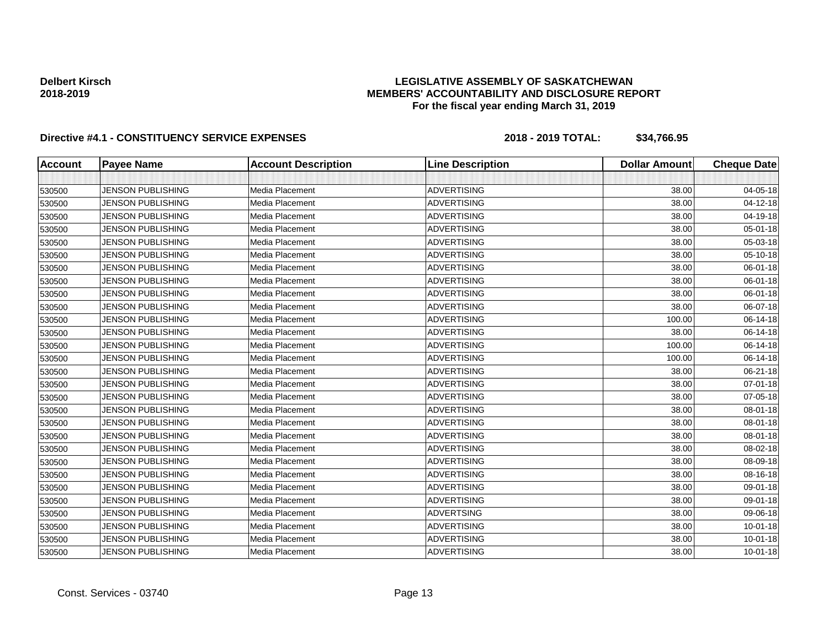## **LEGISLATIVE ASSEMBLY OF SASKATCHEWAN MEMBERS' ACCOUNTABILITY AND DISCLOSURE REPORT For the fiscal year ending March 31, 2019**

| <b>Account</b> | <b>Payee Name</b>        | <b>Account Description</b> | <b>Line Description</b> | <b>Dollar Amount</b> | <b>Cheque Date</b> |
|----------------|--------------------------|----------------------------|-------------------------|----------------------|--------------------|
|                |                          |                            |                         |                      |                    |
| 530500         | <b>JENSON PUBLISHING</b> | Media Placement            | <b>ADVERTISING</b>      | 38.00                | 04-05-18           |
| 530500         | <b>JENSON PUBLISHING</b> | Media Placement            | <b>ADVERTISING</b>      | 38.00                | 04-12-18           |
| 530500         | <b>JENSON PUBLISHING</b> | Media Placement            | <b>ADVERTISING</b>      | 38.00                | 04-19-18           |
| 530500         | <b>JENSON PUBLISHING</b> | Media Placement            | <b>ADVERTISING</b>      | 38.00                | 05-01-18           |
| 530500         | <b>JENSON PUBLISHING</b> | Media Placement            | <b>ADVERTISING</b>      | 38.00                | 05-03-18           |
| 530500         | <b>JENSON PUBLISHING</b> | Media Placement            | <b>ADVERTISING</b>      | 38.00                | 05-10-18           |
| 530500         | <b>JENSON PUBLISHING</b> | Media Placement            | <b>ADVERTISING</b>      | 38.00                | 06-01-18           |
| 530500         | <b>JENSON PUBLISHING</b> | Media Placement            | <b>ADVERTISING</b>      | 38.00                | 06-01-18           |
| 530500         | <b>JENSON PUBLISHING</b> | Media Placement            | <b>ADVERTISING</b>      | 38.00                | 06-01-18           |
| 530500         | JENSON PUBLISHING        | Media Placement            | <b>ADVERTISING</b>      | 38.00                | 06-07-18           |
| 530500         | <b>JENSON PUBLISHING</b> | Media Placement            | <b>ADVERTISING</b>      | 100.00               | 06-14-18           |
| 530500         | <b>JENSON PUBLISHING</b> | Media Placement            | <b>ADVERTISING</b>      | 38.00                | 06-14-18           |
| 530500         | JENSON PUBLISHING        | Media Placement            | <b>ADVERTISING</b>      | 100.00               | 06-14-18           |
| 530500         | <b>JENSON PUBLISHING</b> | Media Placement            | <b>ADVERTISING</b>      | 100.00               | 06-14-18           |
| 530500         | <b>JENSON PUBLISHING</b> | Media Placement            | <b>ADVERTISING</b>      | 38.00                | 06-21-18           |
| 530500         | <b>JENSON PUBLISHING</b> | Media Placement            | <b>ADVERTISING</b>      | 38.00                | 07-01-18           |
| 530500         | <b>JENSON PUBLISHING</b> | Media Placement            | <b>ADVERTISING</b>      | 38.00                | 07-05-18           |
| 530500         | <b>JENSON PUBLISHING</b> | Media Placement            | <b>ADVERTISING</b>      | 38.00                | 08-01-18           |
| 530500         | <b>JENSON PUBLISHING</b> | Media Placement            | <b>ADVERTISING</b>      | 38.00                | 08-01-18           |
| 530500         | <b>JENSON PUBLISHING</b> | Media Placement            | <b>ADVERTISING</b>      | 38.00                | 08-01-18           |
| 530500         | <b>JENSON PUBLISHING</b> | Media Placement            | <b>ADVERTISING</b>      | 38.00                | 08-02-18           |
| 530500         | <b>JENSON PUBLISHING</b> | Media Placement            | <b>ADVERTISING</b>      | 38.00                | 08-09-18           |
| 530500         | <b>JENSON PUBLISHING</b> | Media Placement            | <b>ADVERTISING</b>      | 38.00                | 08-16-18           |
| 530500         | <b>JENSON PUBLISHING</b> | Media Placement            | <b>ADVERTISING</b>      | 38.00                | 09-01-18           |
| 530500         | <b>JENSON PUBLISHING</b> | Media Placement            | <b>ADVERTISING</b>      | 38.00                | 09-01-18           |
| 530500         | <b>JENSON PUBLISHING</b> | Media Placement            | <b>ADVERTSING</b>       | 38.00                | 09-06-18           |
| 530500         | <b>JENSON PUBLISHING</b> | Media Placement            | <b>ADVERTISING</b>      | 38.00                | $10 - 01 - 18$     |
| 530500         | <b>JENSON PUBLISHING</b> | Media Placement            | <b>ADVERTISING</b>      | 38.00                | $10 - 01 - 18$     |
| 530500         | <b>JENSON PUBLISHING</b> | Media Placement            | <b>ADVERTISING</b>      | 38.00                | $10 - 01 - 18$     |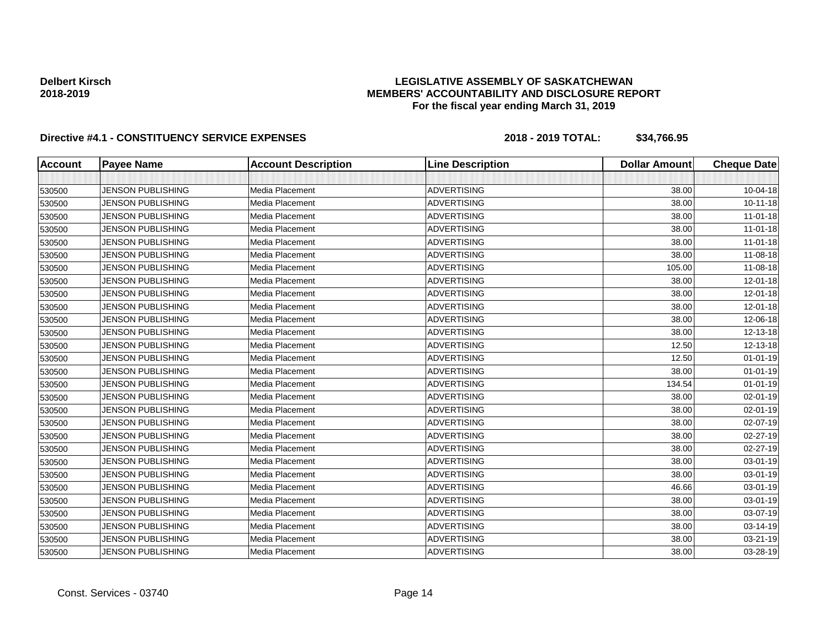## **LEGISLATIVE ASSEMBLY OF SASKATCHEWAN MEMBERS' ACCOUNTABILITY AND DISCLOSURE REPORT For the fiscal year ending March 31, 2019**

| <b>Account</b> | <b>Payee Name</b>        | <b>Account Description</b> | <b>Line Description</b> | <b>Dollar Amount</b> | <b>Cheque Date</b> |
|----------------|--------------------------|----------------------------|-------------------------|----------------------|--------------------|
|                |                          |                            |                         |                      |                    |
| 530500         | <b>JENSON PUBLISHING</b> | Media Placement            | <b>ADVERTISING</b>      | 38.00                | 10-04-18           |
| 530500         | <b>JENSON PUBLISHING</b> | Media Placement            | <b>ADVERTISING</b>      | 38.00                | $10 - 11 - 18$     |
| 530500         | <b>JENSON PUBLISHING</b> | Media Placement            | <b>ADVERTISING</b>      | 38.00                | $11-01-18$         |
| 530500         | <b>JENSON PUBLISHING</b> | Media Placement            | <b>ADVERTISING</b>      | 38.00                | $11-01-18$         |
| 530500         | <b>JENSON PUBLISHING</b> | Media Placement            | <b>ADVERTISING</b>      | 38.00                | $11-01-18$         |
| 530500         | <b>JENSON PUBLISHING</b> | Media Placement            | <b>ADVERTISING</b>      | 38.00                | 11-08-18           |
| 530500         | <b>JENSON PUBLISHING</b> | Media Placement            | <b>ADVERTISING</b>      | 105.00               | 11-08-18           |
| 530500         | <b>JENSON PUBLISHING</b> | Media Placement            | <b>ADVERTISING</b>      | 38.00                | 12-01-18           |
| 530500         | <b>JENSON PUBLISHING</b> | Media Placement            | ADVERTISING             | 38.00                | 12-01-18           |
| 530500         | JENSON PUBLISHING        | Media Placement            | <b>ADVERTISING</b>      | 38.00                | 12-01-18           |
| 530500         | <b>JENSON PUBLISHING</b> | Media Placement            | <b>ADVERTISING</b>      | 38.00                | 12-06-18           |
| 530500         | <b>JENSON PUBLISHING</b> | Media Placement            | <b>ADVERTISING</b>      | 38.00                | 12-13-18           |
| 530500         | JENSON PUBLISHING        | Media Placement            | <b>ADVERTISING</b>      | 12.50                | 12-13-18           |
| 530500         | <b>JENSON PUBLISHING</b> | Media Placement            | <b>ADVERTISING</b>      | 12.50                | $01 - 01 - 19$     |
| 530500         | <b>JENSON PUBLISHING</b> | Media Placement            | <b>ADVERTISING</b>      | 38.00                | $01 - 01 - 19$     |
| 530500         | <b>JENSON PUBLISHING</b> | Media Placement            | <b>ADVERTISING</b>      | 134.54               | $01 - 01 - 19$     |
| 530500         | <b>JENSON PUBLISHING</b> | Media Placement            | <b>ADVERTISING</b>      | 38.00                | 02-01-19           |
| 530500         | <b>JENSON PUBLISHING</b> | Media Placement            | <b>ADVERTISING</b>      | 38.00                | 02-01-19           |
| 530500         | <b>JENSON PUBLISHING</b> | Media Placement            | <b>ADVERTISING</b>      | 38.00                | 02-07-19           |
| 530500         | <b>JENSON PUBLISHING</b> | Media Placement            | <b>ADVERTISING</b>      | 38.00                | 02-27-19           |
| 530500         | <b>JENSON PUBLISHING</b> | Media Placement            | <b>ADVERTISING</b>      | 38.00                | 02-27-19           |
| 530500         | <b>JENSON PUBLISHING</b> | Media Placement            | <b>ADVERTISING</b>      | 38.00                | 03-01-19           |
| 530500         | <b>JENSON PUBLISHING</b> | Media Placement            | <b>ADVERTISING</b>      | 38.00                | 03-01-19           |
| 530500         | <b>JENSON PUBLISHING</b> | Media Placement            | <b>ADVERTISING</b>      | 46.66                | 03-01-19           |
| 530500         | <b>JENSON PUBLISHING</b> | Media Placement            | <b>ADVERTISING</b>      | 38.00                | 03-01-19           |
| 530500         | <b>JENSON PUBLISHING</b> | Media Placement            | <b>ADVERTISING</b>      | 38.00                | 03-07-19           |
| 530500         | <b>JENSON PUBLISHING</b> | Media Placement            | <b>ADVERTISING</b>      | 38.00                | 03-14-19           |
| 530500         | <b>JENSON PUBLISHING</b> | Media Placement            | <b>ADVERTISING</b>      | 38.00                | 03-21-19           |
| 530500         | <b>JENSON PUBLISHING</b> | Media Placement            | <b>ADVERTISING</b>      | 38.00                | 03-28-19           |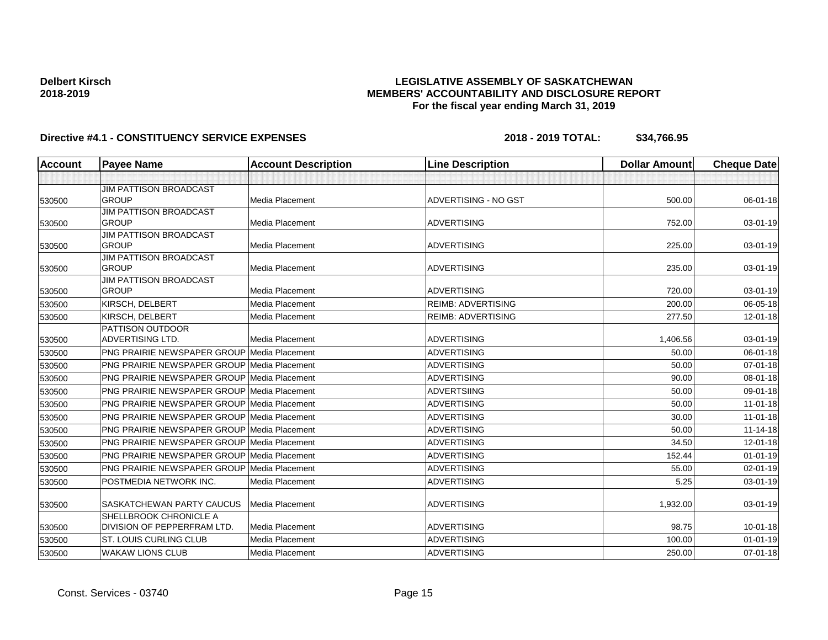## **LEGISLATIVE ASSEMBLY OF SASKATCHEWAN MEMBERS' ACCOUNTABILITY AND DISCLOSURE REPORT For the fiscal year ending March 31, 2019**

| Account | <b>Payee Name</b>                                     | <b>Account Description</b> | <b>Line Description</b>   | <b>Dollar Amount</b> | <b>Cheque Date</b> |
|---------|-------------------------------------------------------|----------------------------|---------------------------|----------------------|--------------------|
|         |                                                       |                            |                           |                      |                    |
|         | <b>JIM PATTISON BROADCAST</b>                         |                            |                           |                      |                    |
| 530500  | <b>GROUP</b>                                          | <b>Media Placement</b>     | ADVERTISING - NO GST      | 500.00               | 06-01-18           |
|         | <b>JIM PATTISON BROADCAST</b>                         |                            |                           |                      |                    |
| 530500  | <b>GROUP</b>                                          | <b>Media Placement</b>     | <b>ADVERTISING</b>        | 752.00               | 03-01-19           |
|         | <b>JIM PATTISON BROADCAST</b>                         |                            |                           |                      |                    |
| 530500  | <b>GROUP</b>                                          | <b>Media Placement</b>     | <b>ADVERTISING</b>        | 225.00               | 03-01-19           |
|         | JIM PATTISON BROADCAST                                |                            |                           |                      |                    |
| 530500  | <b>GROUP</b>                                          | Media Placement            | <b>ADVERTISING</b>        | 235.00               | 03-01-19           |
| 530500  | <b>JIM PATTISON BROADCAST</b><br><b>GROUP</b>         | Media Placement            | <b>ADVERTISING</b>        | 720.00               | $03 - 01 - 19$     |
| 530500  | KIRSCH, DELBERT                                       | Media Placement            | <b>REIMB: ADVERTISING</b> | 200.00               | 06-05-18           |
|         | KIRSCH, DELBERT                                       | Media Placement            | <b>REIMB: ADVERTISING</b> | 277.50               | $12 - 01 - 18$     |
| 530500  | PATTISON OUTDOOR                                      |                            |                           |                      |                    |
| 530500  | <b>ADVERTISING LTD.</b>                               | <b>Media Placement</b>     | <b>ADVERTISING</b>        | 1,406.56             | 03-01-19           |
| 530500  | <b>PNG PRAIRIE NEWSPAPER GROUP Media Placement</b>    |                            | <b>ADVERTISING</b>        | 50.00                | 06-01-18           |
| 530500  | <b>PNG PRAIRIE NEWSPAPER GROUP Media Placement</b>    |                            | <b>ADVERTISING</b>        | 50.00                | $07 - 01 - 18$     |
| 530500  | <b>PNG PRAIRIE NEWSPAPER GROUP Media Placement</b>    |                            | <b>ADVERTISING</b>        | 90.00                | 08-01-18           |
| 530500  | <b>PNG PRAIRIE NEWSPAPER GROUP Media Placement</b>    |                            | ADVERTSIING               | 50.00                | 09-01-18           |
| 530500  | <b>PNG PRAIRIE NEWSPAPER GROUP Media Placement</b>    |                            | <b>ADVERTISING</b>        | 50.00                | $11-01-18$         |
| 530500  | <b>PNG PRAIRIE NEWSPAPER GROUP Media Placement</b>    |                            | <b>ADVERTISING</b>        | 30.00                | $11-01-18$         |
| 530500  | <b>PNG PRAIRIE NEWSPAPER GROUP Media Placement</b>    |                            | <b>ADVERTISING</b>        | 50.00                | $11 - 14 - 18$     |
| 530500  | <b>PNG PRAIRIE NEWSPAPER GROUP Media Placement</b>    |                            | <b>ADVERTISING</b>        | 34.50                | $12 - 01 - 18$     |
| 530500  | <b>PNG PRAIRIE NEWSPAPER GROUP Media Placement</b>    |                            | <b>ADVERTISING</b>        | 152.44               | $01 - 01 - 19$     |
| 530500  | <b>PNG PRAIRIE NEWSPAPER GROUP Media Placement</b>    |                            | <b>ADVERTISING</b>        | 55.00                | $02 - 01 - 19$     |
| 530500  | POSTMEDIA NETWORK INC.                                | Media Placement            | <b>ADVERTISING</b>        | 5.25                 | 03-01-19           |
| 530500  | <b>SASKATCHEWAN PARTY CAUCUS</b>                      | <b>Media Placement</b>     | <b>ADVERTISING</b>        | 1,932.00             | 03-01-19           |
| 530500  | SHELLBROOK CHRONICLE A<br>DIVISION OF PEPPERFRAM LTD. | Media Placement            | <b>ADVERTISING</b>        | 98.75                | $10 - 01 - 18$     |
| 530500  | <b>ST. LOUIS CURLING CLUB</b>                         | Media Placement            | <b>ADVERTISING</b>        | 100.00               | $01 - 01 - 19$     |
| 530500  | <b>WAKAW LIONS CLUB</b>                               | Media Placement            | <b>ADVERTISING</b>        | 250.00               | $07 - 01 - 18$     |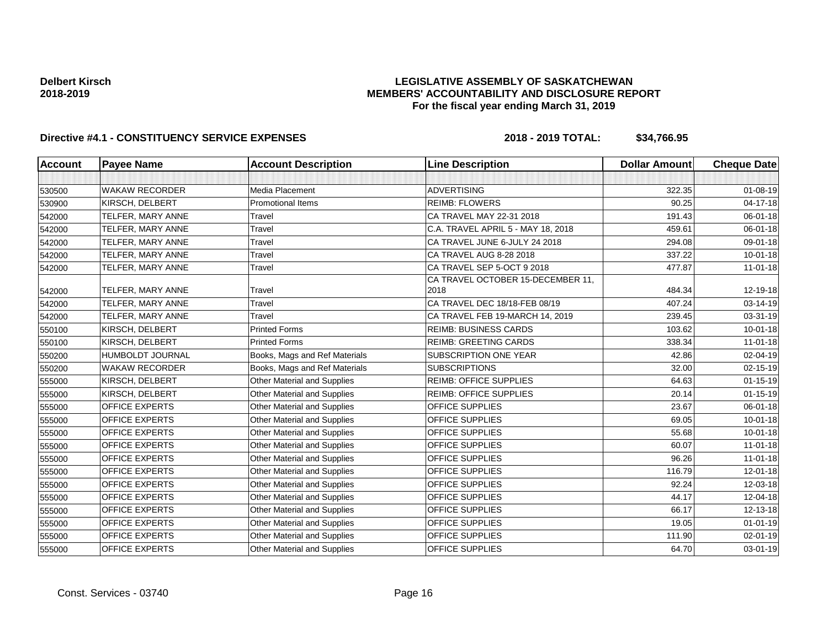## **LEGISLATIVE ASSEMBLY OF SASKATCHEWAN MEMBERS' ACCOUNTABILITY AND DISCLOSURE REPORT For the fiscal year ending March 31, 2019**

| <b>Account</b> | <b>Payee Name</b>       | <b>Account Description</b>         | <b>Line Description</b>                   | <b>Dollar Amount</b> | <b>Cheque Date</b> |
|----------------|-------------------------|------------------------------------|-------------------------------------------|----------------------|--------------------|
|                |                         |                                    |                                           |                      |                    |
| 530500         | <b>WAKAW RECORDER</b>   | Media Placement                    | <b>ADVERTISING</b>                        | 322.35               | $01 - 08 - 19$     |
| 530900         | KIRSCH, DELBERT         | <b>Promotional Items</b>           | <b>REIMB: FLOWERS</b>                     | 90.25                | 04-17-18           |
| 542000         | TELFER, MARY ANNE       | Travel                             | CA TRAVEL MAY 22-31 2018                  | 191.43               | 06-01-18           |
| 542000         | TELFER, MARY ANNE       | Travel                             | C.A. TRAVEL APRIL 5 - MAY 18, 2018        | 459.61               | 06-01-18           |
| 542000         | TELFER, MARY ANNE       | Travel                             | CA TRAVEL JUNE 6-JULY 24 2018             | 294.08               | 09-01-18           |
| 542000         | TELFER, MARY ANNE       | Travel                             | CA TRAVEL AUG 8-28 2018                   | 337.22               | $10 - 01 - 18$     |
| 542000         | TELFER, MARY ANNE       | Travel                             | CA TRAVEL SEP 5-OCT 9 2018                | 477.87               | $11-01-18$         |
| 542000         | TELFER, MARY ANNE       | Travel                             | CA TRAVEL OCTOBER 15-DECEMBER 11,<br>2018 | 484.34               | 12-19-18           |
| 542000         | TELFER, MARY ANNE       | Travel                             | CA TRAVEL DEC 18/18-FEB 08/19             | 407.24               | 03-14-19           |
| 542000         | TELFER, MARY ANNE       | Travel                             | CA TRAVEL FEB 19-MARCH 14, 2019           | 239.45               | 03-31-19           |
| 550100         | KIRSCH, DELBERT         | <b>Printed Forms</b>               | <b>REIMB: BUSINESS CARDS</b>              | 103.62               | $10 - 01 - 18$     |
| 550100         | KIRSCH, DELBERT         | <b>Printed Forms</b>               | <b>REIMB: GREETING CARDS</b>              | 338.34               | $11-01-18$         |
| 550200         | <b>HUMBOLDT JOURNAL</b> | Books, Mags and Ref Materials      | SUBSCRIPTION ONE YEAR                     | 42.86                | 02-04-19           |
| 550200         | <b>WAKAW RECORDER</b>   | Books, Mags and Ref Materials      | <b>SUBSCRIPTIONS</b>                      | 32.00                | $02 - 15 - 19$     |
| 555000         | KIRSCH, DELBERT         | Other Material and Supplies        | <b>REIMB: OFFICE SUPPLIES</b>             | 64.63                | $01 - 15 - 19$     |
| 555000         | KIRSCH, DELBERT         | Other Material and Supplies        | <b>REIMB: OFFICE SUPPLIES</b>             | 20.14                | $01 - 15 - 19$     |
| 555000         | <b>OFFICE EXPERTS</b>   | Other Material and Supplies        | <b>OFFICE SUPPLIES</b>                    | 23.67                | 06-01-18           |
| 555000         | <b>OFFICE EXPERTS</b>   | Other Material and Supplies        | OFFICE SUPPLIES                           | 69.05                | $10 - 01 - 18$     |
| 555000         | <b>OFFICE EXPERTS</b>   | <b>Other Material and Supplies</b> | OFFICE SUPPLIES                           | 55.68                | $10 - 01 - 18$     |
| 555000         | <b>OFFICE EXPERTS</b>   | <b>Other Material and Supplies</b> | <b>OFFICE SUPPLIES</b>                    | 60.07                | $11 - 01 - 18$     |
| 555000         | <b>OFFICE EXPERTS</b>   | Other Material and Supplies        | <b>OFFICE SUPPLIES</b>                    | 96.26                | $11 - 01 - 18$     |
| 555000         | <b>OFFICE EXPERTS</b>   | <b>Other Material and Supplies</b> | OFFICE SUPPLIES                           | 116.79               | 12-01-18           |
| 555000         | <b>OFFICE EXPERTS</b>   | Other Material and Supplies        | <b>OFFICE SUPPLIES</b>                    | 92.24                | 12-03-18           |
| 555000         | <b>OFFICE EXPERTS</b>   | Other Material and Supplies        | <b>OFFICE SUPPLIES</b>                    | 44.17                | 12-04-18           |
| 555000         | <b>OFFICE EXPERTS</b>   | Other Material and Supplies        | OFFICE SUPPLIES                           | 66.17                | 12-13-18           |
| 555000         | <b>OFFICE EXPERTS</b>   | Other Material and Supplies        | OFFICE SUPPLIES                           | 19.05                | $01 - 01 - 19$     |
| 555000         | <b>OFFICE EXPERTS</b>   | <b>Other Material and Supplies</b> | <b>OFFICE SUPPLIES</b>                    | 111.90               | $02 - 01 - 19$     |
| 555000         | <b>OFFICE EXPERTS</b>   | Other Material and Supplies        | OFFICE SUPPLIES                           | 64.70                | 03-01-19           |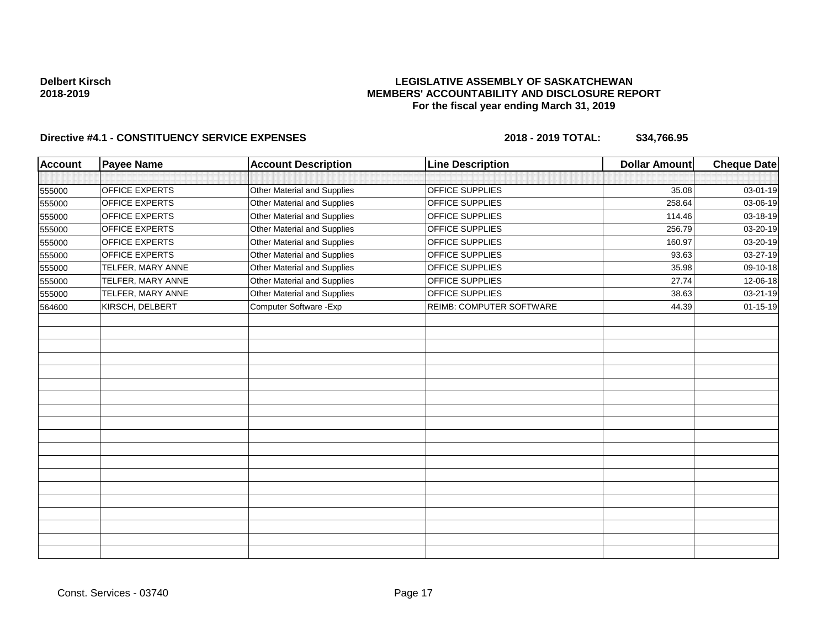## **LEGISLATIVE ASSEMBLY OF SASKATCHEWAN MEMBERS' ACCOUNTABILITY AND DISCLOSURE REPORT For the fiscal year ending March 31, 2019**

| <b>Account</b> | <b>Payee Name</b>     | <b>Account Description</b>  | <b>Line Description</b>  | <b>Dollar Amount</b> | <b>Cheque Date</b> |
|----------------|-----------------------|-----------------------------|--------------------------|----------------------|--------------------|
|                |                       |                             |                          |                      |                    |
| 555000         | <b>OFFICE EXPERTS</b> | Other Material and Supplies | OFFICE SUPPLIES          | 35.08                | 03-01-19           |
| 555000         | <b>OFFICE EXPERTS</b> | Other Material and Supplies | OFFICE SUPPLIES          | 258.64               | 03-06-19           |
| 555000         | <b>OFFICE EXPERTS</b> | Other Material and Supplies | OFFICE SUPPLIES          | 114.46               | 03-18-19           |
| 555000         | <b>OFFICE EXPERTS</b> | Other Material and Supplies | <b>OFFICE SUPPLIES</b>   | 256.79               | 03-20-19           |
| 555000         | <b>OFFICE EXPERTS</b> | Other Material and Supplies | OFFICE SUPPLIES          | 160.97               | 03-20-19           |
| 555000         | <b>OFFICE EXPERTS</b> | Other Material and Supplies | OFFICE SUPPLIES          | 93.63                | 03-27-19           |
| 555000         | TELFER, MARY ANNE     | Other Material and Supplies | OFFICE SUPPLIES          | 35.98                | 09-10-18           |
| 555000         | TELFER, MARY ANNE     | Other Material and Supplies | OFFICE SUPPLIES          | 27.74                | 12-06-18           |
| 555000         | TELFER, MARY ANNE     | Other Material and Supplies | OFFICE SUPPLIES          | 38.63                | 03-21-19           |
| 564600         | KIRSCH, DELBERT       | Computer Software - Exp     | REIMB: COMPUTER SOFTWARE | 44.39                | $01 - 15 - 19$     |
|                |                       |                             |                          |                      |                    |
|                |                       |                             |                          |                      |                    |
|                |                       |                             |                          |                      |                    |
|                |                       |                             |                          |                      |                    |
|                |                       |                             |                          |                      |                    |
|                |                       |                             |                          |                      |                    |
|                |                       |                             |                          |                      |                    |
|                |                       |                             |                          |                      |                    |
|                |                       |                             |                          |                      |                    |
|                |                       |                             |                          |                      |                    |
|                |                       |                             |                          |                      |                    |
|                |                       |                             |                          |                      |                    |
|                |                       |                             |                          |                      |                    |
|                |                       |                             |                          |                      |                    |
|                |                       |                             |                          |                      |                    |
|                |                       |                             |                          |                      |                    |
|                |                       |                             |                          |                      |                    |
|                |                       |                             |                          |                      |                    |
|                |                       |                             |                          |                      |                    |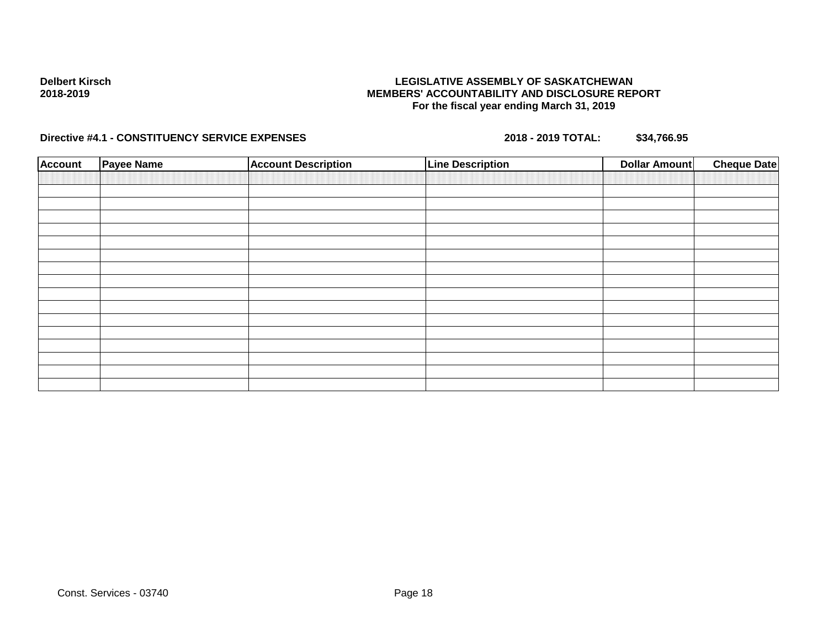## **LEGISLATIVE ASSEMBLY OF SASKATCHEWAN MEMBERS' ACCOUNTABILITY AND DISCLOSURE REPORT For the fiscal year ending March 31, 2019**

| <b>Account</b> | Payee Name | <b>Account Description</b> | <b>Line Description</b> | <b>Dollar Amount</b> | <b>Cheque Date</b> |
|----------------|------------|----------------------------|-------------------------|----------------------|--------------------|
|                |            |                            |                         |                      |                    |
|                |            |                            |                         |                      |                    |
|                |            |                            |                         |                      |                    |
|                |            |                            |                         |                      |                    |
|                |            |                            |                         |                      |                    |
|                |            |                            |                         |                      |                    |
|                |            |                            |                         |                      |                    |
|                |            |                            |                         |                      |                    |
|                |            |                            |                         |                      |                    |
|                |            |                            |                         |                      |                    |
|                |            |                            |                         |                      |                    |
|                |            |                            |                         |                      |                    |
|                |            |                            |                         |                      |                    |
|                |            |                            |                         |                      |                    |
|                |            |                            |                         |                      |                    |
|                |            |                            |                         |                      |                    |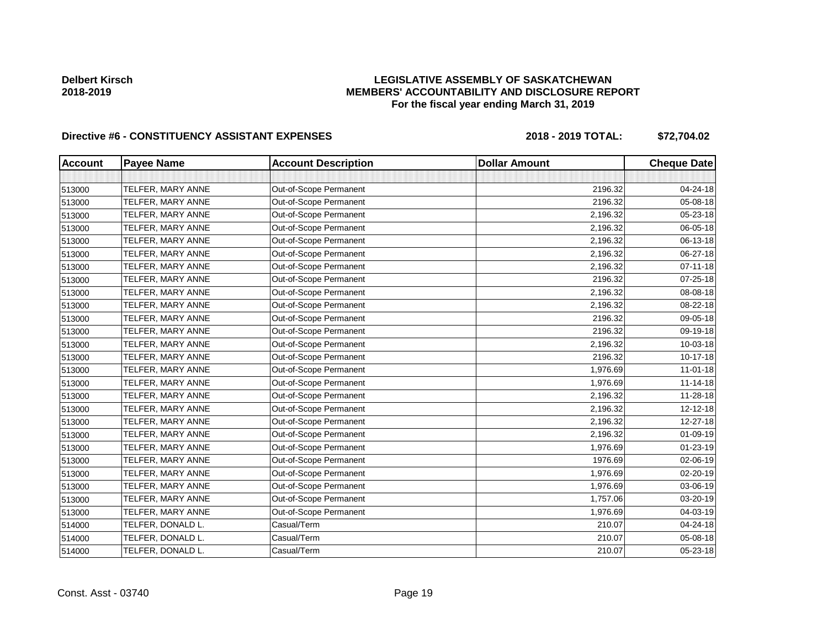# **LEGISLATIVE ASSEMBLY OF SASKATCHEWAN MEMBERS' ACCOUNTABILITY AND DISCLOSURE REPORT For the fiscal year ending March 31, 2019**

| <b>Account</b> | <b>Payee Name</b> | <b>Account Description</b> | <b>Dollar Amount</b> | <b>Cheque Date</b> |
|----------------|-------------------|----------------------------|----------------------|--------------------|
|                |                   |                            |                      |                    |
| 513000         | TELFER, MARY ANNE | Out-of-Scope Permanent     | 2196.32              | 04-24-18           |
| 513000         | TELFER, MARY ANNE | Out-of-Scope Permanent     | 2196.32              | 05-08-18           |
| 513000         | TELFER, MARY ANNE | Out-of-Scope Permanent     | 2,196.32             | 05-23-18           |
| 513000         | TELFER, MARY ANNE | Out-of-Scope Permanent     | 2,196.32             | 06-05-18           |
| 513000         | TELFER, MARY ANNE | Out-of-Scope Permanent     | 2,196.32             | 06-13-18           |
| 513000         | TELFER, MARY ANNE | Out-of-Scope Permanent     | 2,196.32             | 06-27-18           |
| 513000         | TELFER, MARY ANNE | Out-of-Scope Permanent     | 2,196.32             | $07 - 11 - 18$     |
| 513000         | TELFER, MARY ANNE | Out-of-Scope Permanent     | 2196.32              | 07-25-18           |
| 513000         | TELFER, MARY ANNE | Out-of-Scope Permanent     | 2,196.32             | 08-08-18           |
| 513000         | TELFER, MARY ANNE | Out-of-Scope Permanent     | 2,196.32             | 08-22-18           |
| 513000         | TELFER, MARY ANNE | Out-of-Scope Permanent     | 2196.32              | 09-05-18           |
| 513000         | TELFER, MARY ANNE | Out-of-Scope Permanent     | 2196.32              | 09-19-18           |
| 513000         | TELFER, MARY ANNE | Out-of-Scope Permanent     | 2,196.32             | 10-03-18           |
| 513000         | TELFER, MARY ANNE | Out-of-Scope Permanent     | 2196.32              | 10-17-18           |
| 513000         | TELFER, MARY ANNE | Out-of-Scope Permanent     | 1,976.69             | $11 - 01 - 18$     |
| 513000         | TELFER, MARY ANNE | Out-of-Scope Permanent     | 1,976.69             | $11 - 14 - 18$     |
| 513000         | TELFER, MARY ANNE | Out-of-Scope Permanent     | 2,196.32             | 11-28-18           |
| 513000         | TELFER, MARY ANNE | Out-of-Scope Permanent     | 2,196.32             | 12-12-18           |
| 513000         | TELFER, MARY ANNE | Out-of-Scope Permanent     | 2,196.32             | 12-27-18           |
| 513000         | TELFER, MARY ANNE | Out-of-Scope Permanent     | 2,196.32             | 01-09-19           |
| 513000         | TELFER, MARY ANNE | Out-of-Scope Permanent     | 1,976.69             | 01-23-19           |
| 513000         | TELFER, MARY ANNE | Out-of-Scope Permanent     | 1976.69              | 02-06-19           |
| 513000         | TELFER, MARY ANNE | Out-of-Scope Permanent     | 1,976.69             | 02-20-19           |
| 513000         | TELFER, MARY ANNE | Out-of-Scope Permanent     | 1,976.69             | 03-06-19           |
| 513000         | TELFER, MARY ANNE | Out-of-Scope Permanent     | 1,757.06             | 03-20-19           |
| 513000         | TELFER, MARY ANNE | Out-of-Scope Permanent     | 1,976.69             | 04-03-19           |
| 514000         | TELFER, DONALD L. | Casual/Term                | 210.07               | 04-24-18           |
| 514000         | TELFER, DONALD L. | Casual/Term                | 210.07               | 05-08-18           |
| 514000         | TELFER, DONALD L. | Casual/Term                | 210.07               | 05-23-18           |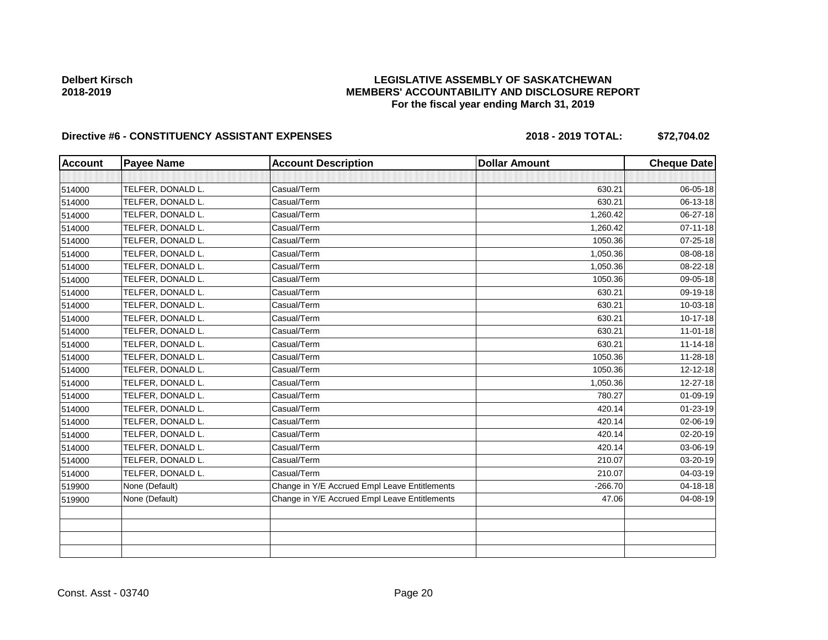# **LEGISLATIVE ASSEMBLY OF SASKATCHEWAN MEMBERS' ACCOUNTABILITY AND DISCLOSURE REPORT For the fiscal year ending March 31, 2019**

| <b>Account</b> | <b>Payee Name</b> | <b>Account Description</b>                    | <b>Dollar Amount</b> | <b>Cheque Date</b> |
|----------------|-------------------|-----------------------------------------------|----------------------|--------------------|
|                |                   |                                               |                      |                    |
| 514000         | TELFER, DONALD L. | Casual/Term                                   | 630.21               | 06-05-18           |
| 514000         | TELFER, DONALD L. | Casual/Term                                   | 630.21               | 06-13-18           |
| 514000         | TELFER, DONALD L. | Casual/Term                                   | 1,260.42             | 06-27-18           |
| 514000         | TELFER, DONALD L. | Casual/Term                                   | 1,260.42             | 07-11-18           |
| 514000         | TELFER, DONALD L. | Casual/Term                                   | 1050.36              | 07-25-18           |
| 514000         | TELFER, DONALD L. | Casual/Term                                   | 1,050.36             | 08-08-18           |
| 514000         | TELFER, DONALD L. | Casual/Term                                   | 1,050.36             | 08-22-18           |
| 514000         | TELFER, DONALD L. | Casual/Term                                   | 1050.36              | 09-05-18           |
| 514000         | TELFER, DONALD L. | Casual/Term                                   | 630.21               | 09-19-18           |
| 514000         | TELFER, DONALD L. | Casual/Term                                   | 630.21               | 10-03-18           |
| 514000         | TELFER, DONALD L. | Casual/Term                                   | 630.21               | $10 - 17 - 18$     |
| 514000         | TELFER, DONALD L. | Casual/Term                                   | 630.21               | $11 - 01 - 18$     |
| 514000         | TELFER, DONALD L. | Casual/Term                                   | 630.21               | $11 - 14 - 18$     |
| 514000         | TELFER, DONALD L. | Casual/Term                                   | 1050.36              | 11-28-18           |
| 514000         | TELFER, DONALD L. | Casual/Term                                   | 1050.36              | $12 - 12 - 18$     |
| 514000         | TELFER, DONALD L. | Casual/Term                                   | 1,050.36             | 12-27-18           |
| 514000         | TELFER, DONALD L. | Casual/Term                                   | 780.27               | $01 - 09 - 19$     |
| 514000         | TELFER, DONALD L. | Casual/Term                                   | 420.14               | 01-23-19           |
| 514000         | TELFER, DONALD L. | Casual/Term                                   | 420.14               | 02-06-19           |
| 514000         | TELFER, DONALD L. | Casual/Term                                   | 420.14               | 02-20-19           |
| 514000         | TELFER, DONALD L. | Casual/Term                                   | 420.14               | 03-06-19           |
| 514000         | TELFER, DONALD L. | Casual/Term                                   | 210.07               | 03-20-19           |
| 514000         | TELFER, DONALD L. | Casual/Term                                   | 210.07               | 04-03-19           |
| 519900         | None (Default)    | Change in Y/E Accrued Empl Leave Entitlements | $-266.70$            | 04-18-18           |
| 519900         | None (Default)    | Change in Y/E Accrued Empl Leave Entitlements | 47.06                | 04-08-19           |
|                |                   |                                               |                      |                    |
|                |                   |                                               |                      |                    |
|                |                   |                                               |                      |                    |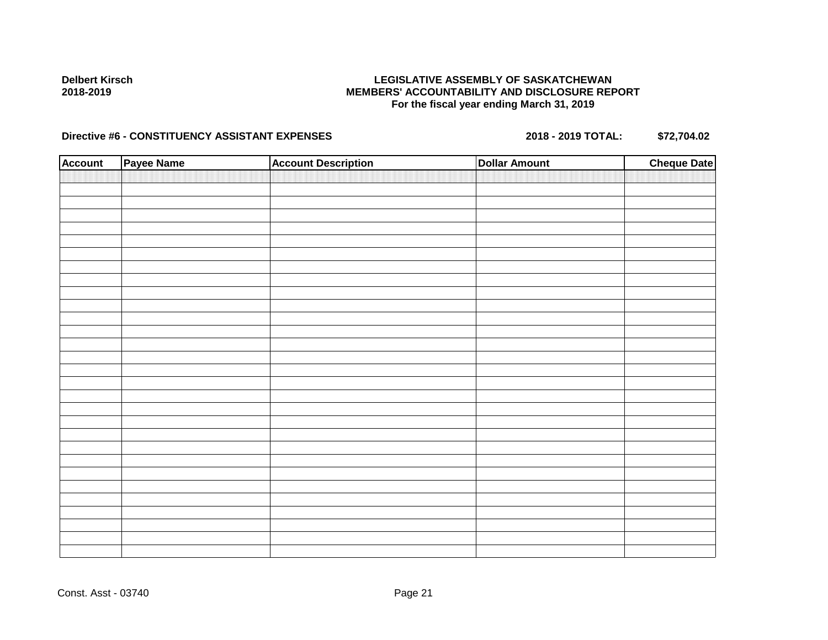## **LEGISLATIVE ASSEMBLY OF SASKATCHEWAN MEMBERS' ACCOUNTABILITY AND DISCLOSURE REPORT For the fiscal year ending March 31, 2019**

| <b>Account</b> | Payee Name | <b>Account Description</b> | <b>Dollar Amount</b> | <b>Cheque Date</b> |
|----------------|------------|----------------------------|----------------------|--------------------|
|                |            |                            |                      |                    |
|                |            |                            |                      |                    |
|                |            |                            |                      |                    |
|                |            |                            |                      |                    |
|                |            |                            |                      |                    |
|                |            |                            |                      |                    |
|                |            |                            |                      |                    |
|                |            |                            |                      |                    |
|                |            |                            |                      |                    |
|                |            |                            |                      |                    |
|                |            |                            |                      |                    |
|                |            |                            |                      |                    |
|                |            |                            |                      |                    |
|                |            |                            |                      |                    |
|                |            |                            |                      |                    |
|                |            |                            |                      |                    |
|                |            |                            |                      |                    |
|                |            |                            |                      |                    |
|                |            |                            |                      |                    |
|                |            |                            |                      |                    |
|                |            |                            |                      |                    |
|                |            |                            |                      |                    |
|                |            |                            |                      |                    |
|                |            |                            |                      |                    |
|                |            |                            |                      |                    |
|                |            |                            |                      |                    |
|                |            |                            |                      |                    |
|                |            |                            |                      |                    |
|                |            |                            |                      |                    |